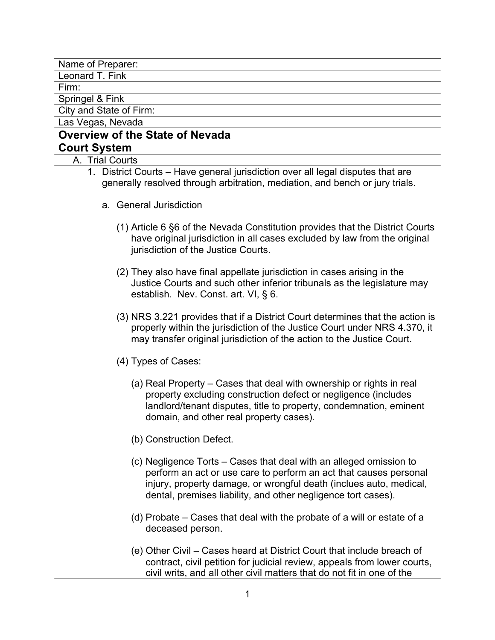Name of Preparer:

Leonard T. Fink

Firm:

Springel & Fink

City and State of Firm:

Las Vegas, Nevada

# **Overview of the State of Nevada Court System**

A. Trial Courts

- 1. District Courts Have general jurisdiction over all legal disputes that are generally resolved through arbitration, mediation, and bench or jury trials.
	- a. General Jurisdiction
		- (1) Article 6 §6 of the Nevada Constitution provides that the District Courts have original jurisdiction in all cases excluded by law from the original jurisdiction of the Justice Courts.
		- (2) They also have final appellate jurisdiction in cases arising in the Justice Courts and such other inferior tribunals as the legislature may establish. Nev. Const. art. VI, § 6.
		- (3) NRS 3.221 provides that if a District Court determines that the action is properly within the jurisdiction of the Justice Court under NRS 4.370, it may transfer original jurisdiction of the action to the Justice Court.
		- (4) Types of Cases:
			- (a) Real Property Cases that deal with ownership or rights in real property excluding construction defect or negligence (includes landlord/tenant disputes, title to property, condemnation, eminent domain, and other real property cases).
			- (b) Construction Defect.
			- (c) Negligence Torts Cases that deal with an alleged omission to perform an act or use care to perform an act that causes personal injury, property damage, or wrongful death (inclues auto, medical, dental, premises liability, and other negligence tort cases).
			- (d) Probate Cases that deal with the probate of a will or estate of a deceased person.
			- (e) Other Civil Cases heard at District Court that include breach of contract, civil petition for judicial review, appeals from lower courts, civil writs, and all other civil matters that do not fit in one of the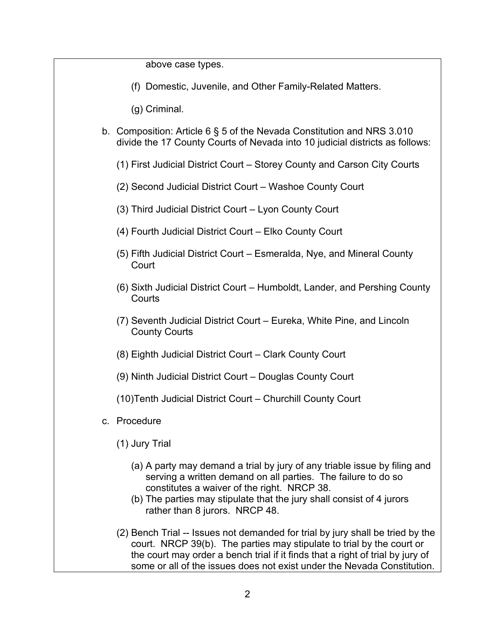above case types.

(f) Domestic, Juvenile, and Other Family-Related Matters.

(g) Criminal.

- b. Composition: Article 6 § 5 of the Nevada Constitution and NRS 3.010 divide the 17 County Courts of Nevada into 10 judicial districts as follows:
	- (1) First Judicial District Court Storey County and Carson City Courts
	- (2) Second Judicial District Court Washoe County Court
	- (3) Third Judicial District Court Lyon County Court
	- (4) Fourth Judicial District Court Elko County Court
	- (5) Fifth Judicial District Court Esmeralda, Nye, and Mineral County **Court**
	- (6) Sixth Judicial District Court Humboldt, Lander, and Pershing County **Courts**
	- (7) Seventh Judicial District Court Eureka, White Pine, and Lincoln County Courts
	- (8) Eighth Judicial District Court Clark County Court
	- (9) Ninth Judicial District Court Douglas County Court
	- (10)Tenth Judicial District Court Churchill County Court
- c. Procedure
	- (1) Jury Trial
		- (a) A party may demand a trial by jury of any triable issue by filing and serving a written demand on all parties. The failure to do so constitutes a waiver of the right. NRCP 38.
		- (b) The parties may stipulate that the jury shall consist of 4 jurors rather than 8 jurors. NRCP 48.
	- (2) Bench Trial -- Issues not demanded for trial by jury shall be tried by the court. NRCP 39(b). The parties may stipulate to trial by the court or the court may order a bench trial if it finds that a right of trial by jury of some or all of the issues does not exist under the Nevada Constitution.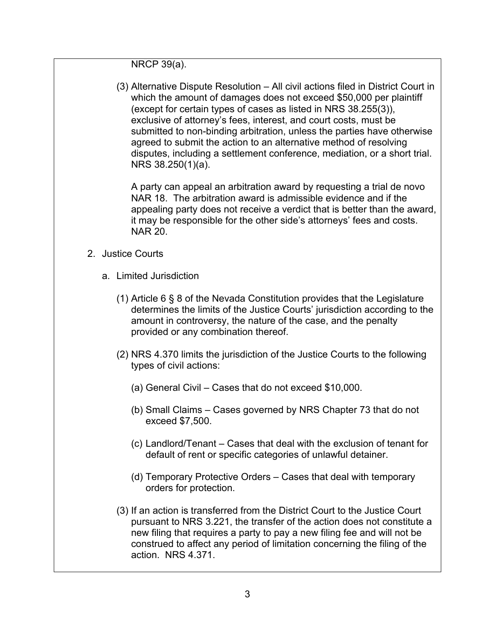NRCP 39(a).

(3) Alternative Dispute Resolution – All civil actions filed in District Court in which the amount of damages does not exceed \$50,000 per plaintiff (except for certain types of cases as listed in NRS 38.255(3)), exclusive of attorney's fees, interest, and court costs, must be submitted to non-binding arbitration, unless the parties have otherwise agreed to submit the action to an alternative method of resolving disputes, including a settlement conference, mediation, or a short trial. NRS 38.250(1)(a).

A party can appeal an arbitration award by requesting a trial de novo NAR 18. The arbitration award is admissible evidence and if the appealing party does not receive a verdict that is better than the award, it may be responsible for the other side's attorneys' fees and costs. NAR 20.

- 2. Justice Courts
	- a. Limited Jurisdiction
		- (1) Article 6 § 8 of the Nevada Constitution provides that the Legislature determines the limits of the Justice Courts' jurisdiction according to the amount in controversy, the nature of the case, and the penalty provided or any combination thereof.
		- (2) NRS 4.370 limits the jurisdiction of the Justice Courts to the following types of civil actions:
			- (a) General Civil Cases that do not exceed \$10,000.
			- (b) Small Claims Cases governed by NRS Chapter 73 that do not exceed \$7,500.
			- (c) Landlord/Tenant Cases that deal with the exclusion of tenant for default of rent or specific categories of unlawful detainer.
			- (d) Temporary Protective Orders Cases that deal with temporary orders for protection.
		- (3) If an action is transferred from the District Court to the Justice Court pursuant to NRS 3.221, the transfer of the action does not constitute a new filing that requires a party to pay a new filing fee and will not be construed to affect any period of limitation concerning the filing of the action. NRS 4.371.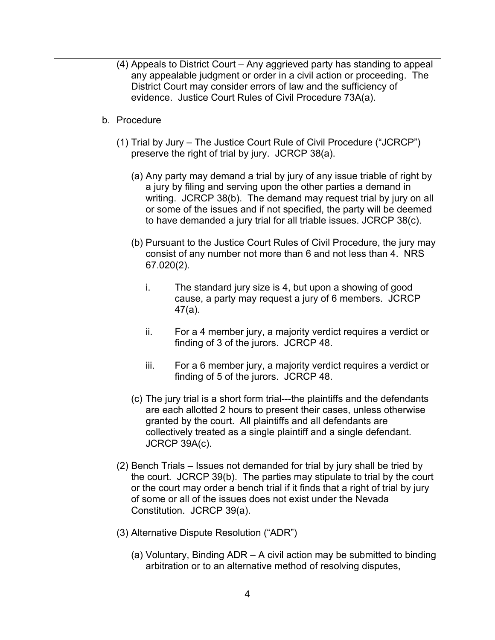- (4) Appeals to District Court Any aggrieved party has standing to appeal any appealable judgment or order in a civil action or proceeding. The District Court may consider errors of law and the sufficiency of evidence. Justice Court Rules of Civil Procedure 73A(a).
- b. Procedure
	- (1) Trial by Jury The Justice Court Rule of Civil Procedure ("JCRCP") preserve the right of trial by jury. JCRCP 38(a).
		- (a) Any party may demand a trial by jury of any issue triable of right by a jury by filing and serving upon the other parties a demand in writing. JCRCP 38(b). The demand may request trial by jury on all or some of the issues and if not specified, the party will be deemed to have demanded a jury trial for all triable issues. JCRCP 38(c).
		- (b) Pursuant to the Justice Court Rules of Civil Procedure, the jury may consist of any number not more than 6 and not less than 4. NRS 67.020(2).
			- i. The standard jury size is 4, but upon a showing of good cause, a party may request a jury of 6 members. JCRCP 47(a).
			- ii. For a 4 member jury, a majority verdict requires a verdict or finding of 3 of the jurors. JCRCP 48.
			- iii. For a 6 member jury, a majority verdict requires a verdict or finding of 5 of the jurors. JCRCP 48.
		- (c) The jury trial is a short form trial---the plaintiffs and the defendants are each allotted 2 hours to present their cases, unless otherwise granted by the court. All plaintiffs and all defendants are collectively treated as a single plaintiff and a single defendant. JCRCP 39A(c).
	- (2) Bench Trials Issues not demanded for trial by jury shall be tried by the court. JCRCP 39(b). The parties may stipulate to trial by the court or the court may order a bench trial if it finds that a right of trial by jury of some or all of the issues does not exist under the Nevada Constitution. JCRCP 39(a).
	- (3) Alternative Dispute Resolution ("ADR")
		- (a) Voluntary, Binding ADR A civil action may be submitted to binding arbitration or to an alternative method of resolving disputes,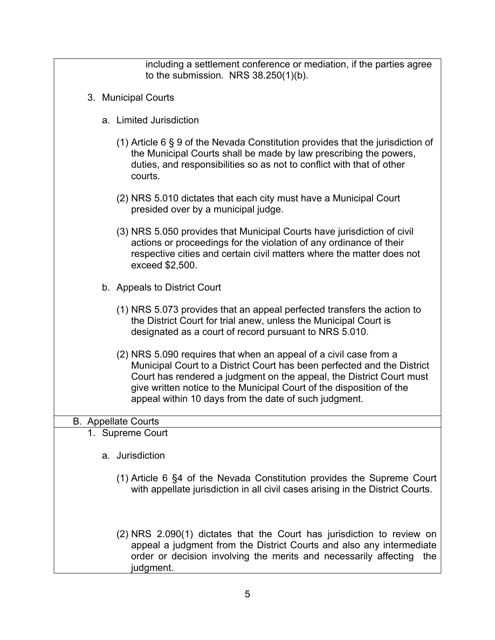including a settlement conference or mediation, if the parties agree to the submission. NRS 38.250(1)(b). 3. Municipal Courts a. Limited Jurisdiction (1) Article 6 § 9 of the Nevada Constitution provides that the jurisdiction of the Municipal Courts shall be made by law prescribing the powers, duties, and responsibilities so as not to conflict with that of other courts. (2) NRS 5.010 dictates that each city must have a Municipal Court presided over by a municipal judge. (3) NRS 5.050 provides that Municipal Courts have jurisdiction of civil actions or proceedings for the violation of any ordinance of their respective cities and certain civil matters where the matter does not exceed \$2,500. b. Appeals to District Court (1) NRS 5.073 provides that an appeal perfected transfers the action to the District Court for trial anew, unless the Municipal Court is designated as a court of record pursuant to NRS 5.010. (2) NRS 5.090 requires that when an appeal of a civil case from a Municipal Court to a District Court has been perfected and the District Court has rendered a judgment on the appeal, the District Court must give written notice to the Municipal Court of the disposition of the appeal within 10 days from the date of such judgment. B. Appellate Courts 1. Supreme Court a. Jurisdiction (1) Article 6 §4 of the Nevada Constitution provides the Supreme Court with appellate jurisdiction in all civil cases arising in the District Courts. (2) NRS 2.090(1) dictates that the Court has jurisdiction to review on appeal a judgment from the District Courts and also any intermediate order or decision involving the merits and necessarily affecting the

5

judgment.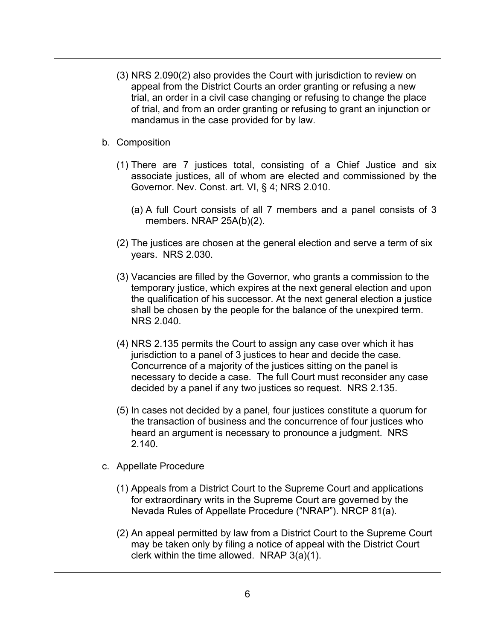- (3) NRS 2.090(2) also provides the Court with jurisdiction to review on appeal from the District Courts an order granting or refusing a new trial, an order in a civil case changing or refusing to change the place of trial, and from an order granting or refusing to grant an injunction or mandamus in the case provided for by law.
- b. Composition
	- (1) There are 7 justices total, consisting of a Chief Justice and six associate justices, all of whom are elected and commissioned by the Governor. Nev. Const. art. VI, § 4; NRS 2.010.
		- (a) A full Court consists of all 7 members and a panel consists of 3 members. NRAP 25A(b)(2).
	- (2) The justices are chosen at the general election and serve a term of six years. NRS 2.030.
	- (3) Vacancies are filled by the Governor, who grants a commission to the temporary justice, which expires at the next general election and upon the qualification of his successor. At the next general election a justice shall be chosen by the people for the balance of the unexpired term. NRS 2.040.
	- (4) NRS 2.135 permits the Court to assign any case over which it has jurisdiction to a panel of 3 justices to hear and decide the case. Concurrence of a majority of the justices sitting on the panel is necessary to decide a case. The full Court must reconsider any case decided by a panel if any two justices so request. NRS 2.135.
	- (5) In cases not decided by a panel, four justices constitute a quorum for the transaction of business and the concurrence of four justices who heard an argument is necessary to pronounce a judgment. NRS 2.140.
- c. Appellate Procedure
	- (1) Appeals from a District Court to the Supreme Court and applications for extraordinary writs in the Supreme Court are governed by the Nevada Rules of Appellate Procedure ("NRAP"). NRCP 81(a).
	- (2) An appeal permitted by law from a District Court to the Supreme Court may be taken only by filing a notice of appeal with the District Court clerk within the time allowed. NRAP 3(a)(1).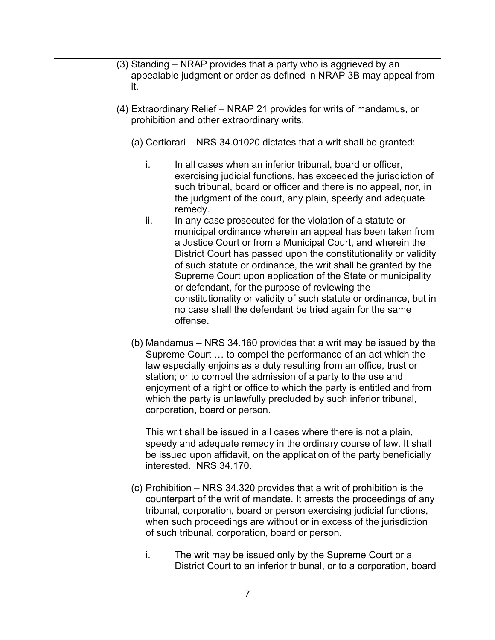- (3) Standing NRAP provides that a party who is aggrieved by an appealable judgment or order as defined in NRAP 3B may appeal from it.
- (4) Extraordinary Relief NRAP 21 provides for writs of mandamus, or prohibition and other extraordinary writs.
	- (a) Certiorari NRS 34.01020 dictates that a writ shall be granted:
		- i. In all cases when an inferior tribunal, board or officer, exercising judicial functions, has exceeded the jurisdiction of such tribunal, board or officer and there is no appeal, nor, in the judgment of the court, any plain, speedy and adequate remedy.
		- ii. In any case prosecuted for the violation of a statute or municipal ordinance wherein an appeal has been taken from a Justice Court or from a Municipal Court, and wherein the District Court has passed upon the constitutionality or validity of such statute or ordinance, the writ shall be granted by the Supreme Court upon application of the State or municipality or defendant, for the purpose of reviewing the constitutionality or validity of such statute or ordinance, but in no case shall the defendant be tried again for the same offense.
	- (b) Mandamus NRS 34.160 provides that a writ may be issued by the Supreme Court … to compel the performance of an act which the law especially enjoins as a duty resulting from an office, trust or station; or to compel the admission of a party to the use and enjoyment of a right or office to which the party is entitled and from which the party is unlawfully precluded by such inferior tribunal, corporation, board or person.

This writ shall be issued in all cases where there is not a plain, speedy and adequate remedy in the ordinary course of law. It shall be issued upon affidavit, on the application of the party beneficially interested. NRS 34.170.

- (c) Prohibition NRS 34.320 provides that a writ of prohibition is the counterpart of the writ of mandate. It arrests the proceedings of any tribunal, corporation, board or person exercising judicial functions, when such proceedings are without or in excess of the jurisdiction of such tribunal, corporation, board or person.
	- i. The writ may be issued only by the Supreme Court or a District Court to an inferior tribunal, or to a corporation, board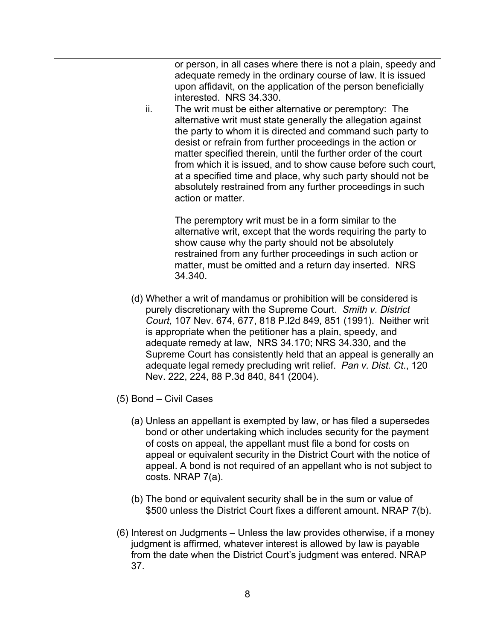or person, in all cases where there is not a plain, speedy and adequate remedy in the ordinary course of law. It is issued upon affidavit, on the application of the person beneficially interested. NRS 34.330.

ii. The writ must be either alternative or peremptory: The alternative writ must state generally the allegation against the party to whom it is directed and command such party to desist or refrain from further proceedings in the action or matter specified therein, until the further order of the court from which it is issued, and to show cause before such court, at a specified time and place, why such party should not be absolutely restrained from any further proceedings in such action or matter.

The peremptory writ must be in a form similar to the alternative writ, except that the words requiring the party to show cause why the party should not be absolutely restrained from any further proceedings in such action or matter, must be omitted and a return day inserted. NRS 34.340.

- (d) Whether a writ of mandamus or prohibition will be considered is purely discretionary with the Supreme Court. *Smith v. District Court*, 107 Nev. 674, 677, 818 P.l2d 849, 851 (1991). Neither writ is appropriate when the petitioner has a plain, speedy, and adequate remedy at law, NRS 34.170; NRS 34.330, and the Supreme Court has consistently held that an appeal is generally an adequate legal remedy precluding writ relief. *Pan v. Dist. Ct*., 120 Nev. 222, 224, 88 P.3d 840, 841 (2004).
- (5) Bond Civil Cases
	- (a) Unless an appellant is exempted by law, or has filed a supersedes bond or other undertaking which includes security for the payment of costs on appeal, the appellant must file a bond for costs on appeal or equivalent security in the District Court with the notice of appeal. A bond is not required of an appellant who is not subject to costs. NRAP 7(a).
	- (b) The bond or equivalent security shall be in the sum or value of \$500 unless the District Court fixes a different amount. NRAP 7(b).
- (6) Interest on Judgments Unless the law provides otherwise, if a money judgment is affirmed, whatever interest is allowed by law is payable from the date when the District Court's judgment was entered. NRAP 37.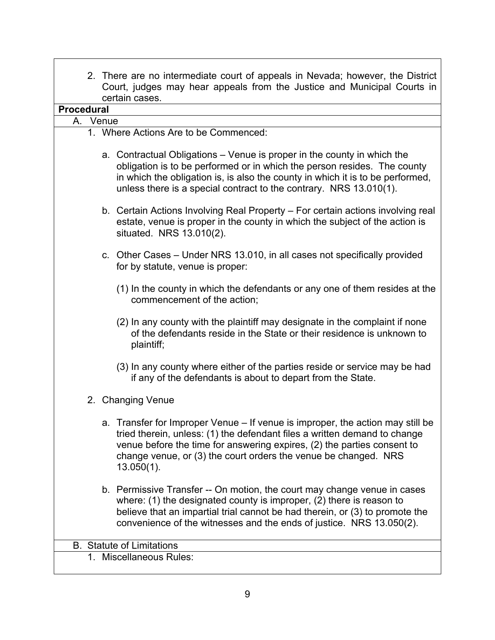| 2. There are no intermediate court of appeals in Nevada; however, the District<br>Court, judges may hear appeals from the Justice and Municipal Courts in                                                                                                                                                                  |
|----------------------------------------------------------------------------------------------------------------------------------------------------------------------------------------------------------------------------------------------------------------------------------------------------------------------------|
| certain cases.<br><b>Procedural</b>                                                                                                                                                                                                                                                                                        |
| A. Venue                                                                                                                                                                                                                                                                                                                   |
| 1. Where Actions Are to be Commenced:                                                                                                                                                                                                                                                                                      |
|                                                                                                                                                                                                                                                                                                                            |
| a. Contractual Obligations – Venue is proper in the county in which the<br>obligation is to be performed or in which the person resides. The county<br>in which the obligation is, is also the county in which it is to be performed,<br>unless there is a special contract to the contrary. NRS 13.010(1).                |
| b. Certain Actions Involving Real Property – For certain actions involving real<br>estate, venue is proper in the county in which the subject of the action is<br>situated. NRS 13.010(2).                                                                                                                                 |
| c. Other Cases – Under NRS 13.010, in all cases not specifically provided<br>for by statute, venue is proper:                                                                                                                                                                                                              |
| (1) In the county in which the defendants or any one of them resides at the<br>commencement of the action;                                                                                                                                                                                                                 |
| (2) In any county with the plaintiff may designate in the complaint if none<br>of the defendants reside in the State or their residence is unknown to<br>plaintiff;                                                                                                                                                        |
| (3) In any county where either of the parties reside or service may be had<br>if any of the defendants is about to depart from the State.                                                                                                                                                                                  |
| 2. Changing Venue                                                                                                                                                                                                                                                                                                          |
| a. Transfer for Improper Venue - If venue is improper, the action may still be<br>tried therein, unless: (1) the defendant files a written demand to change<br>venue before the time for answering expires, (2) the parties consent to<br>change venue, or (3) the court orders the venue be changed. NRS<br>$13.050(1)$ . |
| b. Permissive Transfer -- On motion, the court may change venue in cases<br>where: $(1)$ the designated county is improper, $(2)$ there is reason to<br>believe that an impartial trial cannot be had therein, or (3) to promote the<br>convenience of the witnesses and the ends of justice. NRS 13.050(2).               |
| <b>B.</b> Statute of Limitations                                                                                                                                                                                                                                                                                           |
| 1. Miscellaneous Rules:                                                                                                                                                                                                                                                                                                    |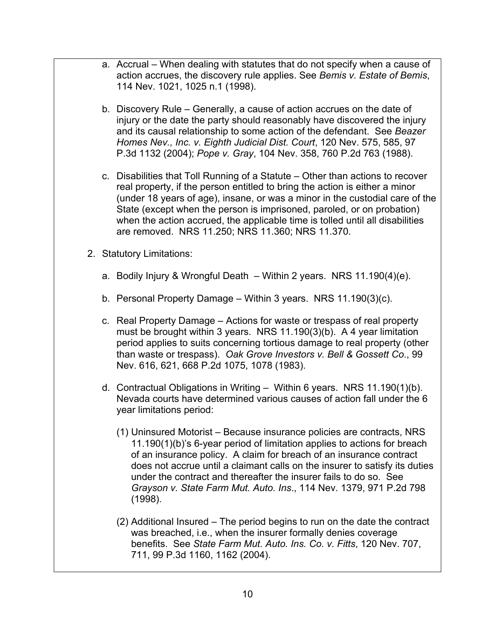- a. Accrual When dealing with statutes that do not specify when a cause of action accrues, the discovery rule applies. See *Bemis v. Estate of Bemis*, 114 Nev. 1021, 1025 n.1 (1998).
- b. Discovery Rule Generally, a cause of action accrues on the date of injury or the date the party should reasonably have discovered the injury and its causal relationship to some action of the defendant. See *Beazer Homes Nev., Inc. v. Eighth Judicial Dist. Court*, 120 Nev. 575, 585, 97 P.3d 1132 (2004); *Pope v. Gray*, 104 Nev. 358, 760 P.2d 763 (1988).
- c. Disabilities that Toll Running of a Statute Other than actions to recover real property, if the person entitled to bring the action is either a minor (under 18 years of age), insane, or was a minor in the custodial care of the State (except when the person is imprisoned, paroled, or on probation) when the action accrued, the applicable time is tolled until all disabilities are removed. NRS 11.250; NRS 11.360; NRS 11.370.
- 2. Statutory Limitations:
	- a. Bodily Injury & Wrongful Death Within 2 years. NRS 11.190(4)(e).
	- b. Personal Property Damage Within 3 years. NRS 11.190(3)(c).
	- c. Real Property Damage Actions for waste or trespass of real property must be brought within 3 years. NRS 11.190(3)(b). A 4 year limitation period applies to suits concerning tortious damage to real property (other than waste or trespass). *Oak Grove Investors v. Bell & Gossett Co*., 99 Nev. 616, 621, 668 P.2d 1075, 1078 (1983).
	- d. Contractual Obligations in Writing Within 6 years. NRS 11.190(1)(b). Nevada courts have determined various causes of action fall under the 6 year limitations period:
		- (1) Uninsured Motorist Because insurance policies are contracts, NRS 11.190(1)(b)'s 6-year period of limitation applies to actions for breach of an insurance policy. A claim for breach of an insurance contract does not accrue until a claimant calls on the insurer to satisfy its duties under the contract and thereafter the insurer fails to do so. See *Grayson v. State Farm Mut. Auto. Ins*., 114 Nev. 1379, 971 P.2d 798 (1998).
		- (2) Additional Insured The period begins to run on the date the contract was breached, i.e., when the insurer formally denies coverage benefits. See *State Farm Mut. Auto. Ins. Co. v. Fitts*, 120 Nev. 707, 711, 99 P.3d 1160, 1162 (2004).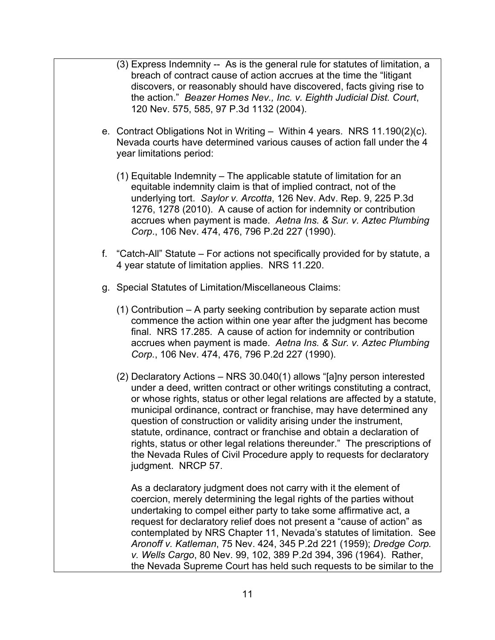- (3) Express Indemnity -- As is the general rule for statutes of limitation, a breach of contract cause of action accrues at the time the "litigant discovers, or reasonably should have discovered, facts giving rise to the action." *Beazer Homes Nev., Inc. v. Eighth Judicial Dist. Court*, 120 Nev. 575, 585, 97 P.3d 1132 (2004).
- e. Contract Obligations Not in Writing Within 4 years. NRS 11.190(2)(c). Nevada courts have determined various causes of action fall under the 4 year limitations period:
	- (1) Equitable Indemnity The applicable statute of limitation for an equitable indemnity claim is that of implied contract, not of the underlying tort. *Saylor v. Arcotta*, 126 Nev. Adv. Rep. 9, 225 P.3d 1276, 1278 (2010). A cause of action for indemnity or contribution accrues when payment is made. *Aetna Ins. & Sur. v. Aztec Plumbing Corp*., 106 Nev. 474, 476, 796 P.2d 227 (1990).
- f. "Catch-All" Statute For actions not specifically provided for by statute, a 4 year statute of limitation applies. NRS 11.220.
- g. Special Statutes of Limitation/Miscellaneous Claims:
	- (1) Contribution A party seeking contribution by separate action must commence the action within one year after the judgment has become final. NRS 17.285. A cause of action for indemnity or contribution accrues when payment is made. *Aetna Ins. & Sur. v. Aztec Plumbing Corp.*, 106 Nev. 474, 476, 796 P.2d 227 (1990).
	- (2) Declaratory Actions NRS 30.040(1) allows "[a]ny person interested under a deed, written contract or other writings constituting a contract, or whose rights, status or other legal relations are affected by a statute, municipal ordinance, contract or franchise, may have determined any question of construction or validity arising under the instrument, statute, ordinance, contract or franchise and obtain a declaration of rights, status or other legal relations thereunder." The prescriptions of the Nevada Rules of Civil Procedure apply to requests for declaratory judgment. NRCP 57.

As a declaratory judgment does not carry with it the element of coercion, merely determining the legal rights of the parties without undertaking to compel either party to take some affirmative act, a request for declaratory relief does not present a "cause of action" as contemplated by NRS Chapter 11, Nevada's statutes of limitation. See *Aronoff v. Katleman*, 75 Nev. 424, 345 P.2d 221 (1959); *Dredge Corp. v. Wells Cargo*, 80 Nev. 99, 102, 389 P.2d 394, 396 (1964). Rather, the Nevada Supreme Court has held such requests to be similar to the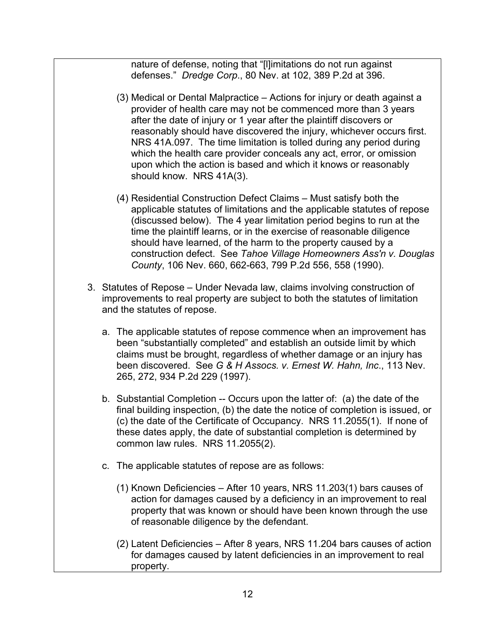nature of defense, noting that "[l]imitations do not run against defenses." *Dredge Corp*., 80 Nev. at 102, 389 P.2d at 396.

- (3) Medical or Dental Malpractice Actions for injury or death against a provider of health care may not be commenced more than 3 years after the date of injury or 1 year after the plaintiff discovers or reasonably should have discovered the injury, whichever occurs first. NRS 41A.097. The time limitation is tolled during any period during which the health care provider conceals any act, error, or omission upon which the action is based and which it knows or reasonably should know. NRS 41A(3).
- (4) Residential Construction Defect Claims Must satisfy both the applicable statutes of limitations and the applicable statutes of repose (discussed below). The 4 year limitation period begins to run at the time the plaintiff learns, or in the exercise of reasonable diligence should have learned, of the harm to the property caused by a construction defect. See *Tahoe Village Homeowners Ass'n v. Douglas County*, 106 Nev. 660, 662-663, 799 P.2d 556, 558 (1990).
- 3. Statutes of Repose Under Nevada law, claims involving construction of improvements to real property are subject to both the statutes of limitation and the statutes of repose.
	- a. The applicable statutes of repose commence when an improvement has been "substantially completed" and establish an outside limit by which claims must be brought, regardless of whether damage or an injury has been discovered. See *G & H Assocs. v. Ernest W. Hahn, Inc*., 113 Nev. 265, 272, 934 P.2d 229 (1997).
	- b. Substantial Completion -- Occurs upon the latter of: (a) the date of the final building inspection, (b) the date the notice of completion is issued, or (c) the date of the Certificate of Occupancy. NRS 11.2055(1). If none of these dates apply, the date of substantial completion is determined by common law rules. NRS 11.2055(2).
	- c. The applicable statutes of repose are as follows:
		- (1) Known Deficiencies After 10 years, NRS 11.203(1) bars causes of action for damages caused by a deficiency in an improvement to real property that was known or should have been known through the use of reasonable diligence by the defendant.
		- (2) Latent Deficiencies After 8 years, NRS 11.204 bars causes of action for damages caused by latent deficiencies in an improvement to real property.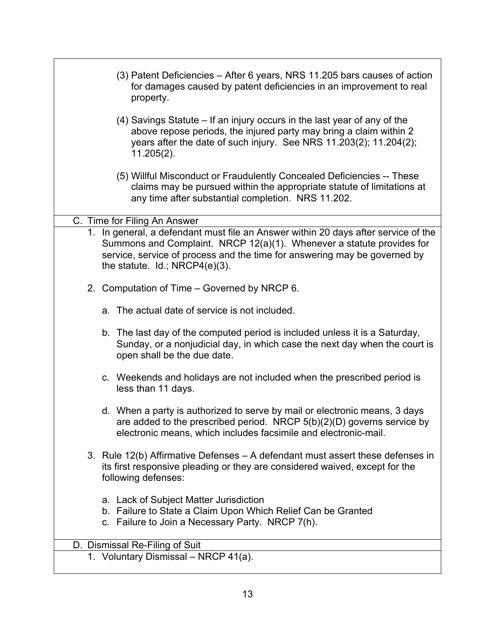| (3) Patent Deficiencies – After 6 years, NRS 11.205 bars causes of action<br>for damages caused by patent deficiencies in an improvement to real<br>property.                                                                                                                    |  |
|----------------------------------------------------------------------------------------------------------------------------------------------------------------------------------------------------------------------------------------------------------------------------------|--|
| (4) Savings Statute – If an injury occurs in the last year of any of the<br>above repose periods, the injured party may bring a claim within 2<br>years after the date of such injury. See NRS 11.203(2); 11.204(2);<br>$11.205(2)$ .                                            |  |
| (5) Willful Misconduct or Fraudulently Concealed Deficiencies -- These<br>claims may be pursued within the appropriate statute of limitations at<br>any time after substantial completion. NRS 11.202.                                                                           |  |
| C. Time for Filing An Answer                                                                                                                                                                                                                                                     |  |
| 1. In general, a defendant must file an Answer within 20 days after service of the<br>Summons and Complaint. NRCP 12(a)(1). Whenever a statute provides for<br>service, service of process and the time for answering may be governed by<br>the statute. $Id$ ; NRCP4 $(e)(3)$ . |  |
| 2. Computation of Time – Governed by NRCP 6.                                                                                                                                                                                                                                     |  |
| a. The actual date of service is not included.                                                                                                                                                                                                                                   |  |
| b. The last day of the computed period is included unless it is a Saturday,<br>Sunday, or a nonjudicial day, in which case the next day when the court is<br>open shall be the due date.                                                                                         |  |
| c. Weekends and holidays are not included when the prescribed period is<br>less than 11 days.                                                                                                                                                                                    |  |
| d. When a party is authorized to serve by mail or electronic means, 3 days<br>are added to the prescribed period. NRCP $5(b)(2)(D)$ governs service by<br>electronic means, which includes facsimile and electronic-mail.                                                        |  |
| 3. Rule 12(b) Affirmative Defenses – A defendant must assert these defenses in<br>its first responsive pleading or they are considered waived, except for the<br>following defenses:                                                                                             |  |
| a. Lack of Subject Matter Jurisdiction<br>b. Failure to State a Claim Upon Which Relief Can be Granted<br>c. Failure to Join a Necessary Party. NRCP 7(h).                                                                                                                       |  |
| D. Dismissal Re-Filing of Suit                                                                                                                                                                                                                                                   |  |
| 1. Voluntary Dismissal - NRCP 41(a).                                                                                                                                                                                                                                             |  |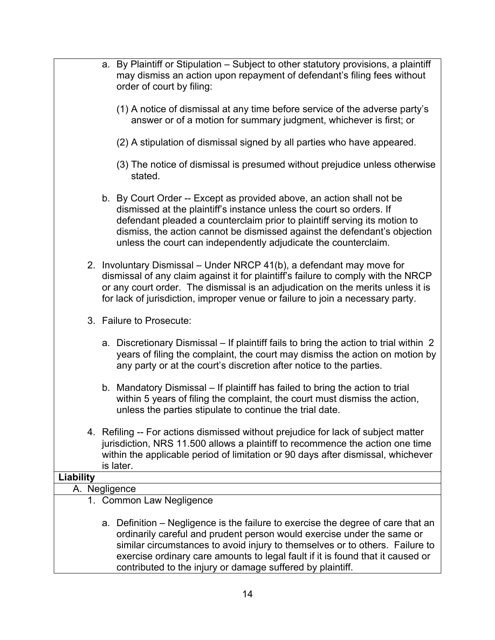|           | a. By Plaintiff or Stipulation - Subject to other statutory provisions, a plaintiff<br>may dismiss an action upon repayment of defendant's filing fees without<br>order of court by filing:                                                                                                                                                                                                |
|-----------|--------------------------------------------------------------------------------------------------------------------------------------------------------------------------------------------------------------------------------------------------------------------------------------------------------------------------------------------------------------------------------------------|
|           | (1) A notice of dismissal at any time before service of the adverse party's<br>answer or of a motion for summary judgment, whichever is first; or                                                                                                                                                                                                                                          |
|           | (2) A stipulation of dismissal signed by all parties who have appeared.                                                                                                                                                                                                                                                                                                                    |
|           | (3) The notice of dismissal is presumed without prejudice unless otherwise<br>stated.                                                                                                                                                                                                                                                                                                      |
|           | b. By Court Order -- Except as provided above, an action shall not be<br>dismissed at the plaintiff's instance unless the court so orders. If<br>defendant pleaded a counterclaim prior to plaintiff serving its motion to<br>dismiss, the action cannot be dismissed against the defendant's objection<br>unless the court can independently adjudicate the counterclaim.                 |
|           | 2. Involuntary Dismissal - Under NRCP 41(b), a defendant may move for<br>dismissal of any claim against it for plaintiff's failure to comply with the NRCP<br>or any court order. The dismissal is an adjudication on the merits unless it is<br>for lack of jurisdiction, improper venue or failure to join a necessary party.                                                            |
|           | 3. Failure to Prosecute:                                                                                                                                                                                                                                                                                                                                                                   |
|           | a. Discretionary Dismissal – If plaintiff fails to bring the action to trial within 2<br>years of filing the complaint, the court may dismiss the action on motion by<br>any party or at the court's discretion after notice to the parties.                                                                                                                                               |
|           | b. Mandatory Dismissal – If plaintiff has failed to bring the action to trial<br>within 5 years of filing the complaint, the court must dismiss the action,<br>unless the parties stipulate to continue the trial date.                                                                                                                                                                    |
|           | 4. Refiling -- For actions dismissed without prejudice for lack of subject matter<br>jurisdiction, NRS 11.500 allows a plaintiff to recommence the action one time<br>within the applicable period of limitation or 90 days after dismissal, whichever<br>is later.                                                                                                                        |
| Liability |                                                                                                                                                                                                                                                                                                                                                                                            |
|           | A. Negligence                                                                                                                                                                                                                                                                                                                                                                              |
|           | 1. Common Law Negligence                                                                                                                                                                                                                                                                                                                                                                   |
|           | a. Definition – Negligence is the failure to exercise the degree of care that an<br>ordinarily careful and prudent person would exercise under the same or<br>similar circumstances to avoid injury to themselves or to others. Failure to<br>exercise ordinary care amounts to legal fault if it is found that it caused or<br>contributed to the injury or damage suffered by plaintiff. |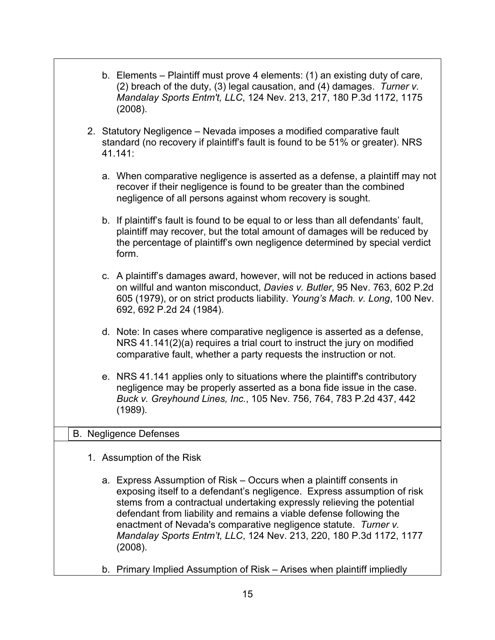|  |    | b. Elements – Plaintiff must prove 4 elements: (1) an existing duty of care,<br>(2) breach of the duty, (3) legal causation, and (4) damages. Turner v.<br>Mandalay Sports Entm't, LLC, 124 Nev. 213, 217, 180 P.3d 1172, 1175<br>(2008).                                                                                                                                                                                                            |
|--|----|------------------------------------------------------------------------------------------------------------------------------------------------------------------------------------------------------------------------------------------------------------------------------------------------------------------------------------------------------------------------------------------------------------------------------------------------------|
|  |    | 2. Statutory Negligence - Nevada imposes a modified comparative fault<br>standard (no recovery if plaintiff's fault is found to be 51% or greater). NRS<br>41.141:                                                                                                                                                                                                                                                                                   |
|  |    | a. When comparative negligence is asserted as a defense, a plaintiff may not<br>recover if their negligence is found to be greater than the combined<br>negligence of all persons against whom recovery is sought.                                                                                                                                                                                                                                   |
|  |    | b. If plaintiff's fault is found to be equal to or less than all defendants' fault,<br>plaintiff may recover, but the total amount of damages will be reduced by<br>the percentage of plaintiff's own negligence determined by special verdict<br>form.                                                                                                                                                                                              |
|  |    | c. A plaintiff's damages award, however, will not be reduced in actions based<br>on willful and wanton misconduct, Davies v. Butler, 95 Nev. 763, 602 P.2d<br>605 (1979), or on strict products liability. Young's Mach. v. Long, 100 Nev.<br>692, 692 P.2d 24 (1984).                                                                                                                                                                               |
|  |    | d. Note: In cases where comparative negligence is asserted as a defense,<br>NRS 41.141(2)(a) requires a trial court to instruct the jury on modified<br>comparative fault, whether a party requests the instruction or not.                                                                                                                                                                                                                          |
|  |    | e. NRS 41.141 applies only to situations where the plaintiff's contributory<br>negligence may be properly asserted as a bona fide issue in the case.<br>Buck v. Greyhound Lines, Inc., 105 Nev. 756, 764, 783 P.2d 437, 442<br>(1989).                                                                                                                                                                                                               |
|  |    | <b>B.</b> Negligence Defenses                                                                                                                                                                                                                                                                                                                                                                                                                        |
|  |    | 1. Assumption of the Risk                                                                                                                                                                                                                                                                                                                                                                                                                            |
|  |    | a. Express Assumption of Risk – Occurs when a plaintiff consents in<br>exposing itself to a defendant's negligence. Express assumption of risk<br>stems from a contractual undertaking expressly relieving the potential<br>defendant from liability and remains a viable defense following the<br>enactment of Nevada's comparative negligence statute. Turner v.<br>Mandalay Sports Entm't, LLC, 124 Nev. 213, 220, 180 P.3d 1172, 1177<br>(2008). |
|  | b. | Primary Implied Assumption of Risk – Arises when plaintiff impliedly                                                                                                                                                                                                                                                                                                                                                                                 |

15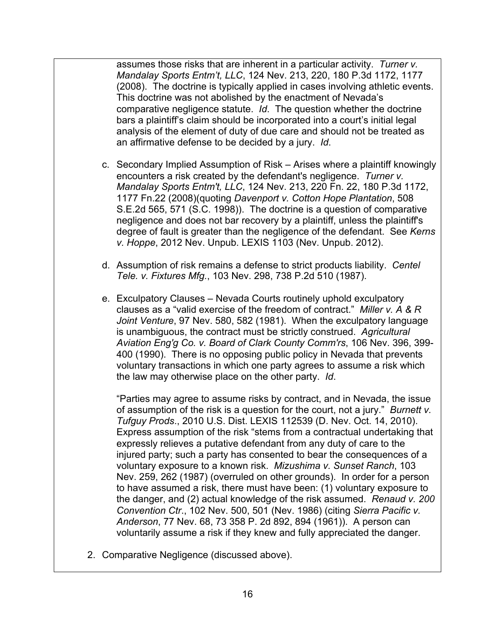assumes those risks that are inherent in a particular activity. *Turner v. Mandalay Sports Entm't, LLC*, 124 Nev. 213, 220, 180 P.3d 1172, 1177 (2008). The doctrine is typically applied in cases involving athletic events. This doctrine was not abolished by the enactment of Nevada's comparative negligence statute. *Id*. The question whether the doctrine bars a plaintiff's claim should be incorporated into a court's initial legal analysis of the element of duty of due care and should not be treated as an affirmative defense to be decided by a jury. *Id*.

- c. Secondary Implied Assumption of Risk Arises where a plaintiff knowingly encounters a risk created by the defendant's negligence. *Turner v. Mandalay Sports Entm't, LLC*, 124 Nev. 213, 220 Fn. 22, 180 P.3d 1172, 1177 Fn.22 (2008)(quoting *Davenport v. Cotton Hope Plantation*, 508 S.E.2d 565, 571 (S.C. 1998)). The doctrine is a question of comparative negligence and does not bar recovery by a plaintiff, unless the plaintiff's degree of fault is greater than the negligence of the defendant. See *Kerns v. Hoppe*, 2012 Nev. Unpub. LEXIS 1103 (Nev. Unpub. 2012).
- d. Assumption of risk remains a defense to strict products liability. *Centel Tele. v. Fixtures Mfg.*, 103 Nev. 298, 738 P.2d 510 (1987).
- e. Exculpatory Clauses Nevada Courts routinely uphold exculpatory clauses as a "valid exercise of the freedom of contract." *Miller v. A & R Joint Venture*, 97 Nev. 580, 582 (1981). When the exculpatory language is unambiguous, the contract must be strictly construed. *Agricultural Aviation Eng'g Co. v. Board of Clark County Comm'rs*, 106 Nev. 396, 399- 400 (1990). There is no opposing public policy in Nevada that prevents voluntary transactions in which one party agrees to assume a risk which the law may otherwise place on the other party. *Id*.

"Parties may agree to assume risks by contract, and in Nevada, the issue of assumption of the risk is a question for the court, not a jury." *Burnett v. Tufguy Prods*., 2010 U.S. Dist. LEXIS 112539 (D. Nev. Oct. 14, 2010). Express assumption of the risk "stems from a contractual undertaking that expressly relieves a putative defendant from any duty of care to the injured party; such a party has consented to bear the consequences of a voluntary exposure to a known risk. *Mizushima v. Sunset Ranch*, 103 Nev. 259, 262 (1987) (overruled on other grounds). In order for a person to have assumed a risk, there must have been: (1) voluntary exposure to the danger, and (2) actual knowledge of the risk assumed. *Renaud v. 200 Convention Ctr*., 102 Nev. 500, 501 (Nev. 1986) (citing *Sierra Pacific v. Anderson*, 77 Nev. 68, 73 358 P. 2d 892, 894 (1961)). A person can voluntarily assume a risk if they knew and fully appreciated the danger.

2. Comparative Negligence (discussed above).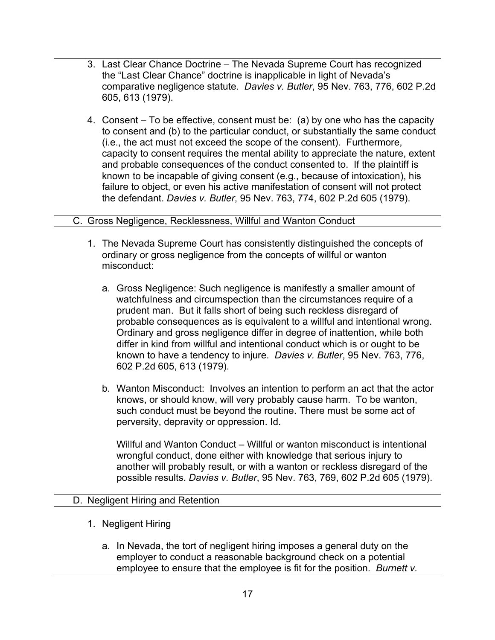| 3. Last Clear Chance Doctrine – The Nevada Supreme Court has recognized<br>the "Last Clear Chance" doctrine is inapplicable in light of Nevada's<br>comparative negligence statute. Davies v. Butler, 95 Nev. 763, 776, 602 P.2d<br>605, 613 (1979).                                                                                                                                                                                                                                                                                                                                                                                                        |
|-------------------------------------------------------------------------------------------------------------------------------------------------------------------------------------------------------------------------------------------------------------------------------------------------------------------------------------------------------------------------------------------------------------------------------------------------------------------------------------------------------------------------------------------------------------------------------------------------------------------------------------------------------------|
| 4. Consent – To be effective, consent must be: (a) by one who has the capacity<br>to consent and (b) to the particular conduct, or substantially the same conduct<br>(i.e., the act must not exceed the scope of the consent). Furthermore,<br>capacity to consent requires the mental ability to appreciate the nature, extent<br>and probable consequences of the conduct consented to. If the plaintiff is<br>known to be incapable of giving consent (e.g., because of intoxication), his<br>failure to object, or even his active manifestation of consent will not protect<br>the defendant. Davies v. Butler, 95 Nev. 763, 774, 602 P.2d 605 (1979). |
| C. Gross Negligence, Recklessness, Willful and Wanton Conduct                                                                                                                                                                                                                                                                                                                                                                                                                                                                                                                                                                                               |
| 1. The Nevada Supreme Court has consistently distinguished the concepts of<br>ordinary or gross negligence from the concepts of willful or wanton<br>misconduct:                                                                                                                                                                                                                                                                                                                                                                                                                                                                                            |
| a. Gross Negligence: Such negligence is manifestly a smaller amount of<br>watchfulness and circumspection than the circumstances require of a<br>prudent man. But it falls short of being such reckless disregard of<br>probable consequences as is equivalent to a willful and intentional wrong.<br>Ordinary and gross negligence differ in degree of inattention, while both<br>differ in kind from willful and intentional conduct which is or ought to be<br>known to have a tendency to injure. Davies v. Butler, 95 Nev. 763, 776,<br>602 P.2d 605, 613 (1979).                                                                                      |
| b. Wanton Misconduct: Involves an intention to perform an act that the actor<br>knows, or should know, will very probably cause harm. To be wanton,<br>such conduct must be beyond the routine. There must be some act of<br>perversity, depravity or oppression. Id.                                                                                                                                                                                                                                                                                                                                                                                       |
| Willful and Wanton Conduct – Willful or wanton misconduct is intentional<br>wrongful conduct, done either with knowledge that serious injury to<br>another will probably result, or with a wanton or reckless disregard of the<br>possible results. Davies v. Butler, 95 Nev. 763, 769, 602 P.2d 605 (1979).                                                                                                                                                                                                                                                                                                                                                |
| D. Negligent Hiring and Retention                                                                                                                                                                                                                                                                                                                                                                                                                                                                                                                                                                                                                           |
| 1. Negligent Hiring                                                                                                                                                                                                                                                                                                                                                                                                                                                                                                                                                                                                                                         |
| a. In Nevada, the tort of negligent hiring imposes a general duty on the<br>employer to conduct a reasonable background check on a potential                                                                                                                                                                                                                                                                                                                                                                                                                                                                                                                |

employee to ensure that the employee is fit for the position. *Burnett v.*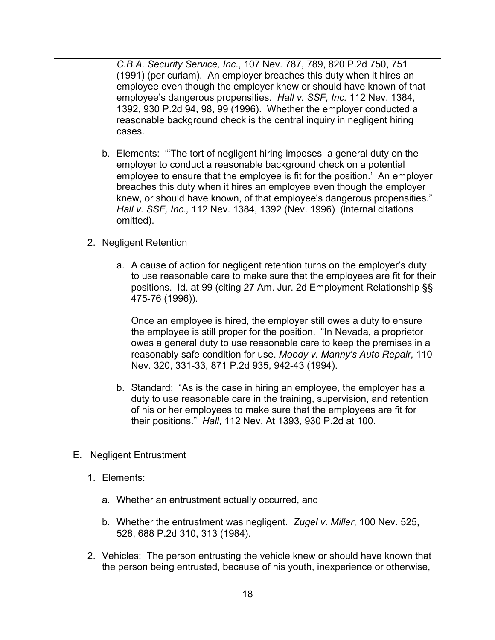*C.B.A. Security Service, Inc.*, 107 Nev. 787, 789, 820 P.2d 750, 751 (1991) (per curiam). An employer breaches this duty when it hires an employee even though the employer knew or should have known of that employee's dangerous propensities. *Hall v. SSF, Inc.* 112 Nev. 1384, 1392, 930 P.2d 94, 98, 99 (1996). Whether the employer conducted a reasonable background check is the central inquiry in negligent hiring cases.

b. Elements: "'The tort of negligent hiring imposes a general duty on the employer to conduct a reasonable background check on a potential employee to ensure that the employee is fit for the position.' An employer breaches this duty when it hires an employee even though the employer knew, or should have known, of that employee's dangerous propensities." *Hall v. SSF, Inc.,* 112 Nev. 1384, 1392 (Nev. 1996) (internal citations omitted).

## 2. Negligent Retention

a. A cause of action for negligent retention turns on the employer's duty to use reasonable care to make sure that the employees are fit for their positions. Id. at 99 (citing 27 Am. Jur. 2d Employment Relationship §§ 475-76 (1996)).

Once an employee is hired, the employer still owes a duty to ensure the employee is still proper for the position. "In Nevada, a proprietor owes a general duty to use reasonable care to keep the premises in a reasonably safe condition for use. *Moody v. Manny's Auto Repair*, 110 Nev. 320, 331-33, 871 P.2d 935, 942-43 (1994).

b. Standard: "As is the case in hiring an employee, the employer has a duty to use reasonable care in the training, supervision, and retention of his or her employees to make sure that the employees are fit for their positions." *Hall*, 112 Nev. At 1393, 930 P.2d at 100.

### E. Negligent Entrustment

- 1. Elements:
	- a. Whether an entrustment actually occurred, and
	- b. Whether the entrustment was negligent. *Zugel v. Miller*, 100 Nev. 525, 528, 688 P.2d 310, 313 (1984).
- 2. Vehicles: The person entrusting the vehicle knew or should have known that the person being entrusted, because of his youth, inexperience or otherwise,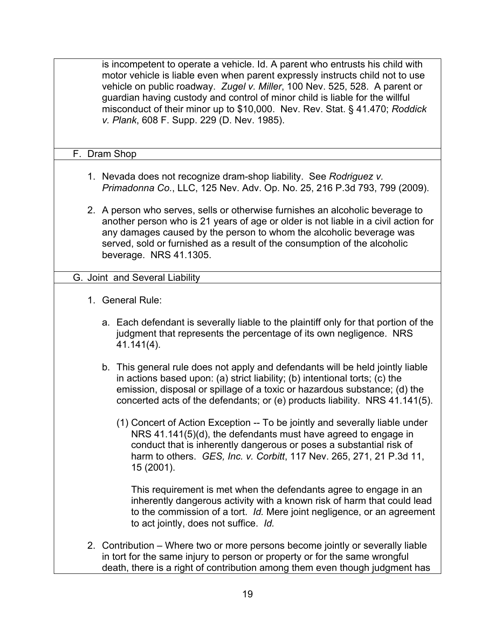is incompetent to operate a vehicle. Id. A parent who entrusts his child with motor vehicle is liable even when parent expressly instructs child not to use vehicle on public roadway. *Zugel v. Miller*, 100 Nev. 525, 528. A parent or guardian having custody and control of minor child is liable for the willful misconduct of their minor up to \$10,000. Nev. Rev. Stat. § 41.470; *Roddick v. Plank*, 608 F. Supp. 229 (D. Nev. 1985).

#### F. Dram Shop

- 1. Nevada does not recognize dram-shop liability. See *Rodriguez v. Primadonna Co.*, LLC, 125 Nev. Adv. Op. No. 25, 216 P.3d 793, 799 (2009).
- 2. A person who serves, sells or otherwise furnishes an alcoholic beverage to another person who is 21 years of age or older is not liable in a civil action for any damages caused by the person to whom the alcoholic beverage was served, sold or furnished as a result of the consumption of the alcoholic beverage. NRS 41.1305.

### G. Joint and Several Liability

- 1. General Rule:
	- a. Each defendant is severally liable to the plaintiff only for that portion of the judgment that represents the percentage of its own negligence. NRS 41.141(4).
	- b. This general rule does not apply and defendants will be held jointly liable in actions based upon: (a) strict liability; (b) intentional torts; (c) the emission, disposal or spillage of a toxic or hazardous substance; (d) the concerted acts of the defendants; or (e) products liability. NRS 41.141(5).
		- (1) Concert of Action Exception -- To be jointly and severally liable under NRS 41.141(5)(d), the defendants must have agreed to engage in conduct that is inherently dangerous or poses a substantial risk of harm to others. *GES, Inc. v. Corbitt*, 117 Nev. 265, 271, 21 P.3d 11, 15 (2001).

This requirement is met when the defendants agree to engage in an inherently dangerous activity with a known risk of harm that could lead to the commission of a tort. *Id.* Mere joint negligence, or an agreement to act jointly, does not suffice. *Id.*

2. Contribution – Where two or more persons become jointly or severally liable in tort for the same injury to person or property or for the same wrongful death, there is a right of contribution among them even though judgment has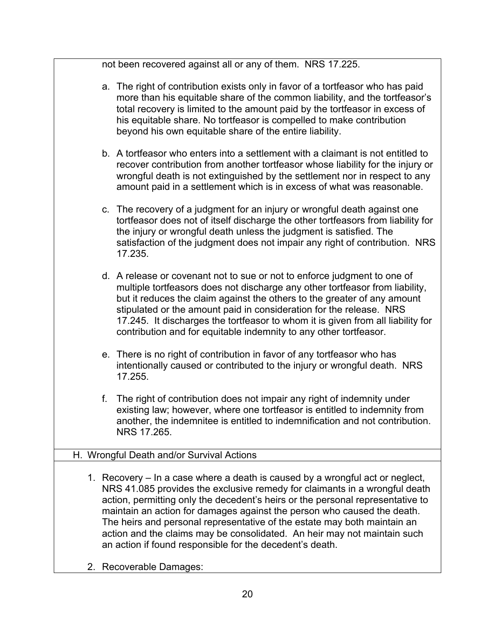|    | not been recovered against all or any of them. NRS 17.225.                                                                                                                                                                                                                                                                                                                                                                                                                                                                                   |
|----|----------------------------------------------------------------------------------------------------------------------------------------------------------------------------------------------------------------------------------------------------------------------------------------------------------------------------------------------------------------------------------------------------------------------------------------------------------------------------------------------------------------------------------------------|
|    | a. The right of contribution exists only in favor of a tortfeasor who has paid<br>more than his equitable share of the common liability, and the tortfeasor's<br>total recovery is limited to the amount paid by the tortfeasor in excess of<br>his equitable share. No tortfeasor is compelled to make contribution<br>beyond his own equitable share of the entire liability.                                                                                                                                                              |
|    | b. A tortfeasor who enters into a settlement with a claimant is not entitled to<br>recover contribution from another tortfeasor whose liability for the injury or<br>wrongful death is not extinguished by the settlement nor in respect to any<br>amount paid in a settlement which is in excess of what was reasonable.                                                                                                                                                                                                                    |
|    | c. The recovery of a judgment for an injury or wrongful death against one<br>tortfeasor does not of itself discharge the other tortfeasors from liability for<br>the injury or wrongful death unless the judgment is satisfied. The<br>satisfaction of the judgment does not impair any right of contribution. NRS<br>17.235.                                                                                                                                                                                                                |
|    | d. A release or covenant not to sue or not to enforce judgment to one of<br>multiple tortfeasors does not discharge any other tortfeasor from liability,<br>but it reduces the claim against the others to the greater of any amount<br>stipulated or the amount paid in consideration for the release. NRS<br>17.245. It discharges the tortfeasor to whom it is given from all liability for<br>contribution and for equitable indemnity to any other tortfeasor.                                                                          |
|    | e. There is no right of contribution in favor of any tortfeasor who has<br>intentionally caused or contributed to the injury or wrongful death. NRS<br>17.255.                                                                                                                                                                                                                                                                                                                                                                               |
| f. | The right of contribution does not impair any right of indemnity under<br>existing law; however, where one tortfeasor is entitled to indemnity from<br>another, the indemnitee is entitled to indemnification and not contribution.<br>NRS 17.265.                                                                                                                                                                                                                                                                                           |
|    | H. Wrongful Death and/or Survival Actions                                                                                                                                                                                                                                                                                                                                                                                                                                                                                                    |
|    | 1. Recovery - In a case where a death is caused by a wrongful act or neglect,<br>NRS 41.085 provides the exclusive remedy for claimants in a wrongful death<br>action, permitting only the decedent's heirs or the personal representative to<br>maintain an action for damages against the person who caused the death.<br>The heirs and personal representative of the estate may both maintain an<br>action and the claims may be consolidated. An heir may not maintain such<br>an action if found responsible for the decedent's death. |

2. Recoverable Damages: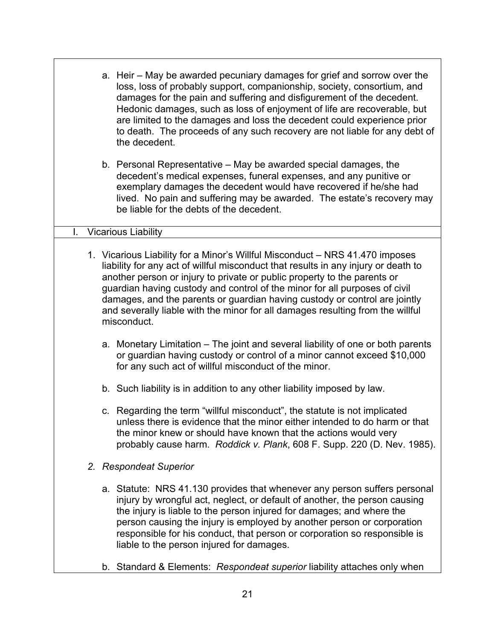|    | a. Heir – May be awarded pecuniary damages for grief and sorrow over the<br>loss, loss of probably support, companionship, society, consortium, and<br>damages for the pain and suffering and disfigurement of the decedent.<br>Hedonic damages, such as loss of enjoyment of life are recoverable, but<br>are limited to the damages and loss the decedent could experience prior<br>to death. The proceeds of any such recovery are not liable for any debt of<br>the decedent.                           |
|----|-------------------------------------------------------------------------------------------------------------------------------------------------------------------------------------------------------------------------------------------------------------------------------------------------------------------------------------------------------------------------------------------------------------------------------------------------------------------------------------------------------------|
|    | b. Personal Representative – May be awarded special damages, the<br>decedent's medical expenses, funeral expenses, and any punitive or<br>exemplary damages the decedent would have recovered if he/she had<br>lived. No pain and suffering may be awarded. The estate's recovery may<br>be liable for the debts of the decedent.                                                                                                                                                                           |
| L. | <b>Vicarious Liability</b>                                                                                                                                                                                                                                                                                                                                                                                                                                                                                  |
|    | 1. Vicarious Liability for a Minor's Willful Misconduct - NRS 41.470 imposes<br>liability for any act of willful misconduct that results in any injury or death to<br>another person or injury to private or public property to the parents or<br>guardian having custody and control of the minor for all purposes of civil<br>damages, and the parents or guardian having custody or control are jointly<br>and severally liable with the minor for all damages resulting from the willful<br>misconduct. |
|    | a. Monetary Limitation – The joint and several liability of one or both parents<br>or guardian having custody or control of a minor cannot exceed \$10,000<br>for any such act of willful misconduct of the minor.                                                                                                                                                                                                                                                                                          |
|    | b. Such liability is in addition to any other liability imposed by law.                                                                                                                                                                                                                                                                                                                                                                                                                                     |
|    | c. Regarding the term "willful misconduct", the statute is not implicated<br>unless there is evidence that the minor either intended to do harm or that<br>the minor knew or should have known that the actions would very<br>probably cause harm. Roddick v. Plank, 608 F. Supp. 220 (D. Nev. 1985).                                                                                                                                                                                                       |
|    | 2. Respondeat Superior                                                                                                                                                                                                                                                                                                                                                                                                                                                                                      |
|    | a. Statute: NRS 41.130 provides that whenever any person suffers personal<br>injury by wrongful act, neglect, or default of another, the person causing<br>the injury is liable to the person injured for damages; and where the<br>person causing the injury is employed by another person or corporation<br>responsible for his conduct, that person or corporation so responsible is<br>liable to the person injured for damages.                                                                        |

b. Standard & Elements: *Respondeat superior* liability attaches only when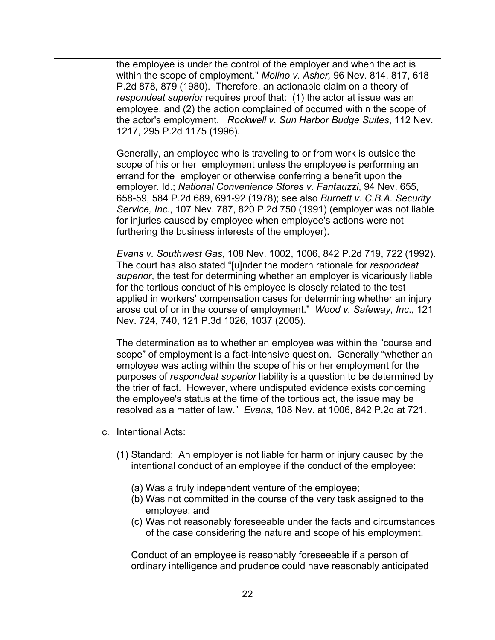the employee is under the control of the employer and when the act is within the scope of employment." *Molino v. Asher,* 96 Nev. 814, 817, 618 P.2d 878, 879 (1980). Therefore, an actionable claim on a theory of *respondeat superior* requires proof that: (1) the actor at issue was an employee, and (2) the action complained of occurred within the scope of the actor's employment. *Rockwell v. Sun Harbor Budge Suites*, 112 Nev. 1217, 295 P.2d 1175 (1996).

Generally, an employee who is traveling to or from work is outside the scope of his or her employment unless the employee is performing an errand for the employer or otherwise conferring a benefit upon the employer. Id.; *National Convenience Stores v. Fantauzzi*, 94 Nev. 655, 658-59, 584 P.2d 689, 691-92 (1978); see also *Burnett v. C.B.A. Security Service, Inc*., 107 Nev. 787, 820 P.2d 750 (1991) (employer was not liable for injuries caused by employee when employee's actions were not furthering the business interests of the employer).

*Evans v. Southwest Gas*, 108 Nev. 1002, 1006, 842 P.2d 719, 722 (1992). The court has also stated "[u]nder the modern rationale for *respondeat superior*, the test for determining whether an employer is vicariously liable for the tortious conduct of his employee is closely related to the test applied in workers' compensation cases for determining whether an injury arose out of or in the course of employment." *Wood v. Safeway, Inc*., 121 Nev. 724, 740, 121 P.3d 1026, 1037 (2005).

The determination as to whether an employee was within the "course and scope" of employment is a fact-intensive question. Generally "whether an employee was acting within the scope of his or her employment for the purposes of *respondeat superior* liability is a question to be determined by the trier of fact. However, where undisputed evidence exists concerning the employee's status at the time of the tortious act, the issue may be resolved as a matter of law." *Evans*, 108 Nev. at 1006, 842 P.2d at 721.

- c. Intentional Acts:
	- (1) Standard: An employer is not liable for harm or injury caused by the intentional conduct of an employee if the conduct of the employee:
		- (a) Was a truly independent venture of the employee;
		- (b) Was not committed in the course of the very task assigned to the employee; and
		- (c) Was not reasonably foreseeable under the facts and circumstances of the case considering the nature and scope of his employment.

Conduct of an employee is reasonably foreseeable if a person of ordinary intelligence and prudence could have reasonably anticipated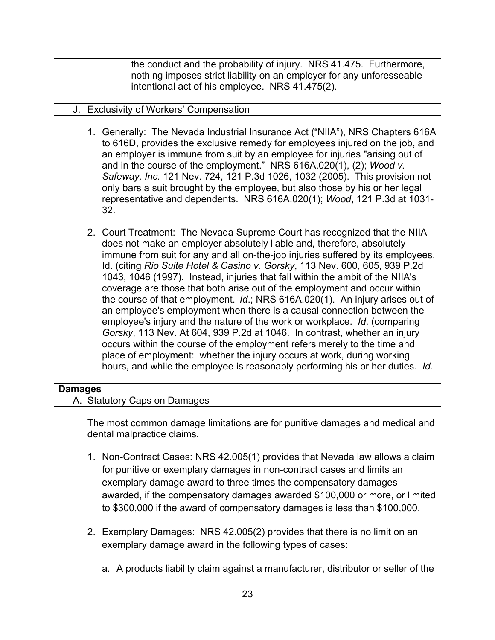the conduct and the probability of injury. NRS 41.475. Furthermore, nothing imposes strict liability on an employer for any unforesseable intentional act of his employee. NRS 41.475(2).

### J. Exclusivity of Workers' Compensation

- 1. Generally: The Nevada Industrial Insurance Act ("NIIA"), NRS Chapters 616A to 616D, provides the exclusive remedy for employees injured on the job, and an employer is immune from suit by an employee for injuries "arising out of and in the course of the employment." NRS 616A.020(1), (2); *Wood v. Safeway, Inc.* 121 Nev. 724, 121 P.3d 1026, 1032 (2005). This provision not only bars a suit brought by the employee, but also those by his or her legal representative and dependents. NRS 616A.020(1); *Wood*, 121 P.3d at 1031- 32.
- 2. Court Treatment: The Nevada Supreme Court has recognized that the NIIA does not make an employer absolutely liable and, therefore, absolutely immune from suit for any and all on-the-job injuries suffered by its employees. Id. (citing *Rio Suite Hotel & Casino v. Gorsky*, 113 Nev. 600, 605, 939 P.2d 1043, 1046 (1997). Instead, injuries that fall within the ambit of the NIIA's coverage are those that both arise out of the employment and occur within the course of that employment. *Id*.; NRS 616A.020(1). An injury arises out of an employee's employment when there is a causal connection between the employee's injury and the nature of the work or workplace. *Id*. (comparing *Gorsky*, 113 Nev. At 604, 939 P.2d at 1046. In contrast, whether an injury occurs within the course of the employment refers merely to the time and place of employment: whether the injury occurs at work, during working hours, and while the employee is reasonably performing his or her duties. *Id*.

#### **Damages**

### A. Statutory Caps on Damages

The most common damage limitations are for punitive damages and medical and dental malpractice claims.

- 1. Non-Contract Cases: NRS 42.005(1) provides that Nevada law allows a claim for punitive or exemplary damages in non-contract cases and limits an exemplary damage award to three times the compensatory damages awarded, if the compensatory damages awarded \$100,000 or more, or limited to \$300,000 if the award of compensatory damages is less than \$100,000.
- 2. Exemplary Damages: NRS 42.005(2) provides that there is no limit on an exemplary damage award in the following types of cases:
	- a. A products liability claim against a manufacturer, distributor or seller of the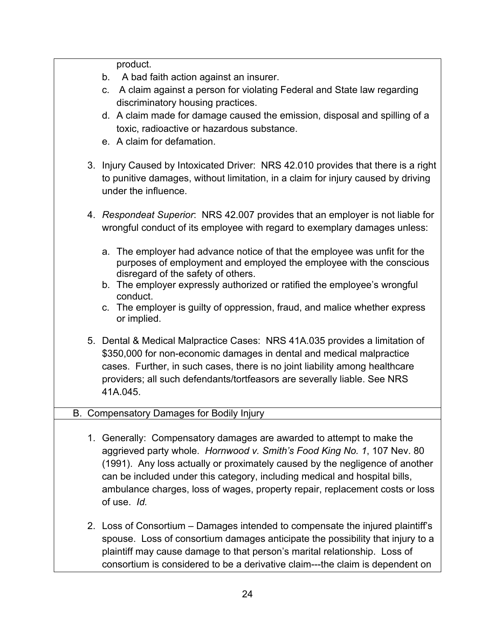product.

- b. A bad faith action against an insurer.
- c. A claim against a person for violating Federal and State law regarding discriminatory housing practices.
- d. A claim made for damage caused the emission, disposal and spilling of a toxic, radioactive or hazardous substance.
- e. A claim for defamation.
- 3. Injury Caused by Intoxicated Driver: NRS 42.010 provides that there is a right to punitive damages, without limitation, in a claim for injury caused by driving under the influence.
- 4. *Respondeat Superior*: NRS 42.007 provides that an employer is not liable for wrongful conduct of its employee with regard to exemplary damages unless:
	- a. The employer had advance notice of that the employee was unfit for the purposes of employment and employed the employee with the conscious disregard of the safety of others.
	- b. The employer expressly authorized or ratified the employee's wrongful conduct.
	- c. The employer is guilty of oppression, fraud, and malice whether express or implied.
- 5. Dental & Medical Malpractice Cases: NRS 41A.035 provides a limitation of \$350,000 for non-economic damages in dental and medical malpractice cases. Further, in such cases, there is no joint liability among healthcare providers; all such defendants/tortfeasors are severally liable. See NRS 41A.045.

# B. Compensatory Damages for Bodily Injury

- 1. Generally: Compensatory damages are awarded to attempt to make the aggrieved party whole. *Hornwood v. Smith's Food King No. 1*, 107 Nev. 80 (1991). Any loss actually or proximately caused by the negligence of another can be included under this category, including medical and hospital bills, ambulance charges, loss of wages, property repair, replacement costs or loss of use. *Id.*
- 2. Loss of Consortium Damages intended to compensate the injured plaintiff's spouse. Loss of consortium damages anticipate the possibility that injury to a plaintiff may cause damage to that person's marital relationship. Loss of consortium is considered to be a derivative claim---the claim is dependent on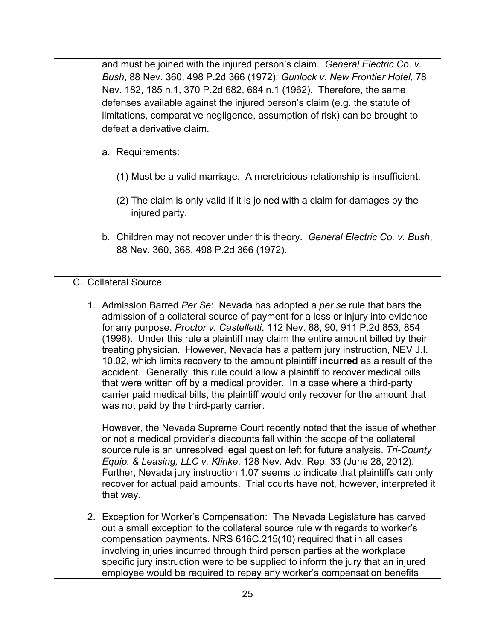and must be joined with the injured person's claim. *General Electric Co. v. Bush*, 88 Nev. 360, 498 P.2d 366 (1972); *Gunlock v. New Frontier Hotel*, 78 Nev. 182, 185 n.1, 370 P.2d 682, 684 n.1 (1962). Therefore, the same defenses available against the injured person's claim (e.g. the statute of limitations, comparative negligence, assumption of risk) can be brought to defeat a derivative claim.

- a. Requirements:
	- (1) Must be a valid marriage. A meretricious relationship is insufficient.
	- (2) The claim is only valid if it is joined with a claim for damages by the injured party.
- b. Children may not recover under this theory. *General Electric Co. v. Bush*, 88 Nev. 360, 368, 498 P.2d 366 (1972).

### C. Collateral Source

1. Admission Barred *Per Se*: Nevada has adopted a *per se* rule that bars the admission of a collateral source of payment for a loss or injury into evidence for any purpose. *Proctor v. Castelletti*, 112 Nev. 88, 90, 911 P.2d 853, 854 (1996). Under this rule a plaintiff may claim the entire amount billed by their treating physician. However, Nevada has a pattern jury instruction, NEV J.I. 10.02, which limits recovery to the amount plaintiff **incurred** as a result of the accident. Generally, this rule could allow a plaintiff to recover medical bills that were written off by a medical provider. In a case where a third-party carrier paid medical bills, the plaintiff would only recover for the amount that was not paid by the third-party carrier.

However, the Nevada Supreme Court recently noted that the issue of whether or not a medical provider's discounts fall within the scope of the collateral source rule is an unresolved legal question left for future analysis. *Tri-County Equip. & Leasing, LLC v. Klinke*, 128 Nev. Adv. Rep. 33 (June 28, 2012). Further, Nevada jury instruction 1.07 seems to indicate that plaintiffs can only recover for actual paid amounts. Trial courts have not, however, interpreted it that way.

2. Exception for Worker's Compensation: The Nevada Legislature has carved out a small exception to the collateral source rule with regards to worker's compensation payments. NRS 616C.215(10) required that in all cases involving injuries incurred through third person parties at the workplace specific jury instruction were to be supplied to inform the jury that an injured employee would be required to repay any worker's compensation benefits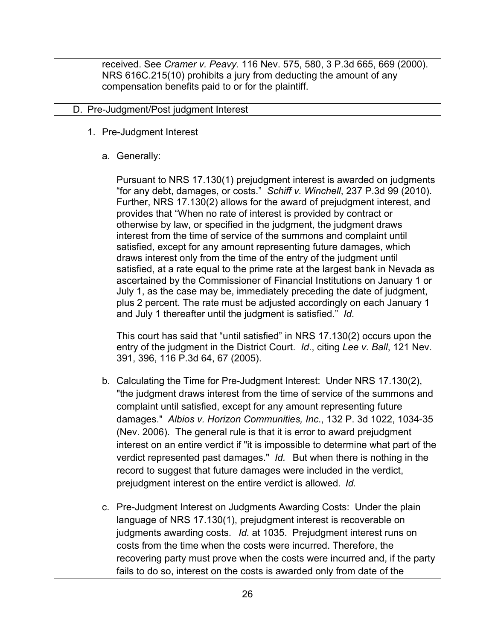received. See *Cramer v. Peavy.* 116 Nev. 575, 580, 3 P.3d 665, 669 (2000). NRS 616C.215(10) prohibits a jury from deducting the amount of any compensation benefits paid to or for the plaintiff.

#### D. Pre-Judgment/Post judgment Interest

- 1. Pre-Judgment Interest
	- a. Generally:

Pursuant to NRS 17.130(1) prejudgment interest is awarded on judgments "for any debt, damages, or costs." *Schiff v. Winchell*, 237 P.3d 99 (2010). Further, NRS 17.130(2) allows for the award of prejudgment interest, and provides that "When no rate of interest is provided by contract or otherwise by law, or specified in the judgment, the judgment draws interest from the time of service of the summons and complaint until satisfied, except for any amount representing future damages, which draws interest only from the time of the entry of the judgment until satisfied, at a rate equal to the prime rate at the largest bank in Nevada as ascertained by the Commissioner of Financial Institutions on January 1 or July 1, as the case may be, immediately preceding the date of judgment, plus 2 percent. The rate must be adjusted accordingly on each January 1 and July 1 thereafter until the judgment is satisfied." *Id*.

This court has said that "until satisfied" in NRS 17.130(2) occurs upon the entry of the judgment in the District Court. *Id*., citing *Lee v. Ball*, 121 Nev. 391, 396, 116 P.3d 64, 67 (2005).

- b. Calculating the Time for Pre-Judgment Interest: Under NRS 17.130(2), "the judgment draws interest from the time of service of the summons and complaint until satisfied, except for any amount representing future damages." *Albios v. Horizon Communities, Inc*., 132 P. 3d 1022, 1034-35 (Nev. 2006). The general rule is that it is error to award prejudgment interest on an entire verdict if "it is impossible to determine what part of the verdict represented past damages." *Id.* But when there is nothing in the record to suggest that future damages were included in the verdict, prejudgment interest on the entire verdict is allowed. *Id.*
- c. Pre-Judgment Interest on Judgments Awarding Costs: Under the plain language of NRS 17.130(1), prejudgment interest is recoverable on judgments awarding costs. *Id.* at 1035. Prejudgment interest runs on costs from the time when the costs were incurred. Therefore, the recovering party must prove when the costs were incurred and, if the party fails to do so, interest on the costs is awarded only from date of the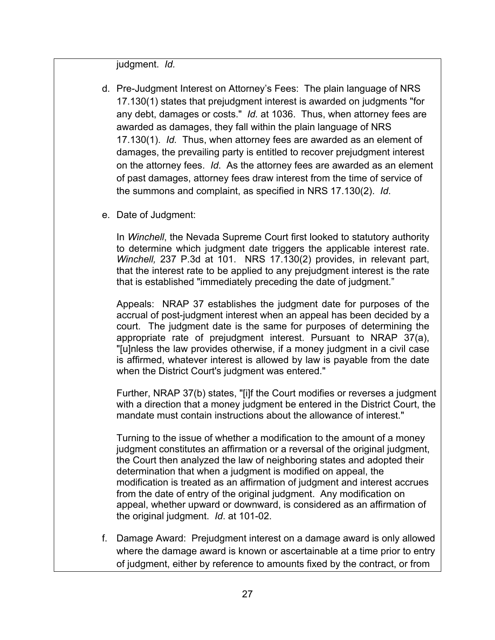judgment. *Id.*

- d. Pre-Judgment Interest on Attorney's Fees: The plain language of NRS 17.130(1) states that prejudgment interest is awarded on judgments "for any debt, damages or costs." *Id.* at 1036. Thus, when attorney fees are awarded as damages, they fall within the plain language of NRS 17.130(1). *Id.* Thus, when attorney fees are awarded as an element of damages, the prevailing party is entitled to recover prejudgment interest on the attorney fees. *Id*. As the attorney fees are awarded as an element of past damages, attorney fees draw interest from the time of service of the summons and complaint, as specified in NRS 17.130(2). *Id*.
- e. Date of Judgment:

In *Winchell*, the Nevada Supreme Court first looked to statutory authority to determine which judgment date triggers the applicable interest rate. *Winchell,* 237 P.3d at 101. NRS 17.130(2) provides, in relevant part, that the interest rate to be applied to any prejudgment interest is the rate that is established "immediately preceding the date of judgment."

Appeals: NRAP 37 establishes the judgment date for purposes of the accrual of post-judgment interest when an appeal has been decided by a court. The judgment date is the same for purposes of determining the appropriate rate of prejudgment interest. Pursuant to NRAP 37(a), "[u]nless the law provides otherwise, if a money judgment in a civil case is affirmed, whatever interest is allowed by law is payable from the date when the District Court's judgment was entered."

Further, NRAP 37(b) states, "[i]f the Court modifies or reverses a judgment with a direction that a money judgment be entered in the District Court, the mandate must contain instructions about the allowance of interest."

Turning to the issue of whether a modification to the amount of a money judgment constitutes an affirmation or a reversal of the original judgment, the Court then analyzed the law of neighboring states and adopted their determination that when a judgment is modified on appeal, the modification is treated as an affirmation of judgment and interest accrues from the date of entry of the original judgment. Any modification on appeal, whether upward or downward, is considered as an affirmation of the original judgment. *Id*. at 101-02.

f. Damage Award: Prejudgment interest on a damage award is only allowed where the damage award is known or ascertainable at a time prior to entry of judgment, either by reference to amounts fixed by the contract, or from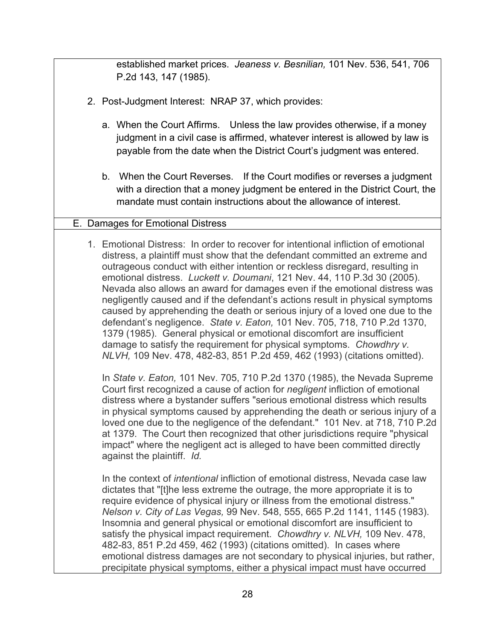established market prices. *Jeaness v. Besnilian,* 101 Nev. 536, 541, 706 P.2d 143, 147 (1985).

- 2. Post-Judgment Interest: NRAP 37, which provides:
	- a. When the Court Affirms. Unless the law provides otherwise, if a money judgment in a civil case is affirmed, whatever interest is allowed by law is payable from the date when the District Court's judgment was entered.
	- b. When the Court Reverses. If the Court modifies or reverses a judgment with a direction that a money judgment be entered in the District Court, the mandate must contain instructions about the allowance of interest.

### E. Damages for Emotional Distress

1. Emotional Distress: In order to recover for intentional infliction of emotional distress, a plaintiff must show that the defendant committed an extreme and outrageous conduct with either intention or reckless disregard, resulting in emotional distress. *Luckett v. Doumani*, 121 Nev. 44, 110 P.3d 30 (2005). Nevada also allows an award for damages even if the emotional distress was negligently caused and if the defendant's actions result in physical symptoms caused by apprehending the death or serious injury of a loved one due to the defendant's negligence. *State v. Eaton,* 101 Nev. 705, 718, 710 P.2d 1370, 1379 (1985). General physical or emotional discomfort are insufficient damage to satisfy the requirement for physical symptoms. *Chowdhry v. NLVH,* 109 Nev. 478, 482-83, 851 P.2d 459, 462 (1993) (citations omitted).

In *State v. Eaton,* 101 Nev. 705, 710 P.2d 1370 (1985), the Nevada Supreme Court first recognized a cause of action for *negligent* infliction of emotional distress where a bystander suffers "serious emotional distress which results in physical symptoms caused by apprehending the death or serious injury of a loved one due to the negligence of the defendant." 101 Nev. at 718, 710 P.2d at 1379. The Court then recognized that other jurisdictions require "physical impact" where the negligent act is alleged to have been committed directly against the plaintiff. *Id.*

In the context of *intentional* infliction of emotional distress, Nevada case law dictates that "[t]he less extreme the outrage, the more appropriate it is to require evidence of physical injury or illness from the emotional distress." *Nelson v. City of Las Vegas,* 99 Nev. 548, 555, 665 P.2d 1141, 1145 (1983). Insomnia and general physical or emotional discomfort are insufficient to satisfy the physical impact requirement. *Chowdhry v. NLVH,* 109 Nev. 478, 482-83, 851 P.2d 459, 462 (1993) (citations omitted). In cases where emotional distress damages are not secondary to physical injuries, but rather, precipitate physical symptoms, either a physical impact must have occurred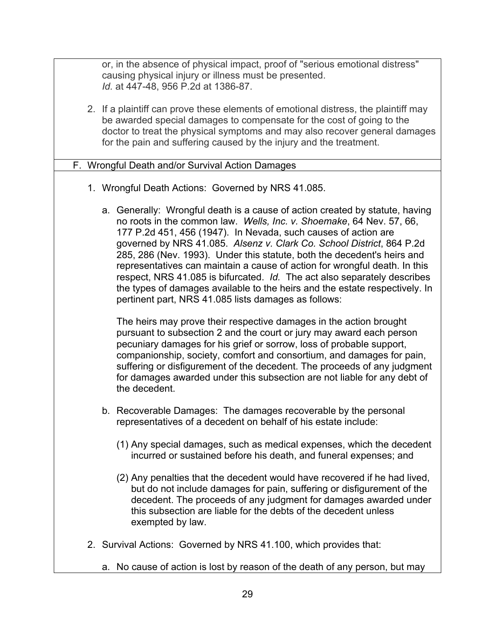or, in the absence of physical impact, proof of "serious emotional distress" causing physical injury or illness must be presented. *Id.* at 447-48, 956 P.2d at 1386-87.

2. If a plaintiff can prove these elements of emotional distress, the plaintiff may be awarded special damages to compensate for the cost of going to the doctor to treat the physical symptoms and may also recover general damages for the pain and suffering caused by the injury and the treatment.

#### F. Wrongful Death and/or Survival Action Damages

- 1. Wrongful Death Actions: Governed by NRS 41.085.
	- a. Generally: Wrongful death is a cause of action created by statute, having no roots in the common law. *Wells, Inc. v. Shoemake*, 64 Nev. 57, 66, 177 P.2d 451, 456 (1947). In Nevada, such causes of action are governed by NRS 41.085. *Alsenz v. Clark Co. School District*, 864 P.2d 285, 286 (Nev. 1993). Under this statute, both the decedent's heirs and representatives can maintain a cause of action for wrongful death. In this respect, NRS 41.085 is bifurcated. *Id.* The act also separately describes the types of damages available to the heirs and the estate respectively. In pertinent part, NRS 41.085 lists damages as follows:

The heirs may prove their respective damages in the action brought pursuant to subsection 2 and the court or jury may award each person pecuniary damages for his grief or sorrow, loss of probable support, companionship, society, comfort and consortium, and damages for pain, suffering or disfigurement of the decedent. The proceeds of any judgment for damages awarded under this subsection are not liable for any debt of the decedent.

- b. Recoverable Damages: The damages recoverable by the personal representatives of a decedent on behalf of his estate include:
	- (1) Any special damages, such as medical expenses, which the decedent incurred or sustained before his death, and funeral expenses; and
	- (2) Any penalties that the decedent would have recovered if he had lived, but do not include damages for pain, suffering or disfigurement of the decedent. The proceeds of any judgment for damages awarded under this subsection are liable for the debts of the decedent unless exempted by law.
- 2. Survival Actions: Governed by NRS 41.100, which provides that:
	- a. No cause of action is lost by reason of the death of any person, but may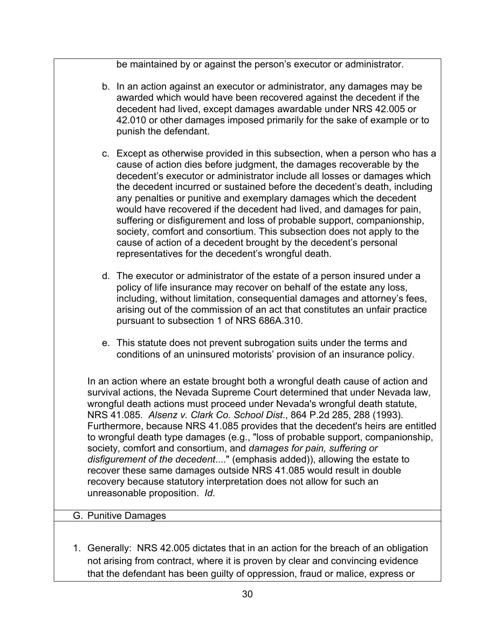be maintained by or against the person's executor or administrator.

- b. In an action against an executor or administrator, any damages may be awarded which would have been recovered against the decedent if the decedent had lived, except damages awardable under NRS 42.005 or 42.010 or other damages imposed primarily for the sake of example or to punish the defendant.
- c. Except as otherwise provided in this subsection, when a person who has a cause of action dies before judgment, the damages recoverable by the decedent's executor or administrator include all losses or damages which the decedent incurred or sustained before the decedent's death, including any penalties or punitive and exemplary damages which the decedent would have recovered if the decedent had lived, and damages for pain, suffering or disfigurement and loss of probable support, companionship, society, comfort and consortium. This subsection does not apply to the cause of action of a decedent brought by the decedent's personal representatives for the decedent's wrongful death.
- d. The executor or administrator of the estate of a person insured under a policy of life insurance may recover on behalf of the estate any loss, including, without limitation, consequential damages and attorney's fees, arising out of the commission of an act that constitutes an unfair practice pursuant to subsection 1 of NRS 686A.310.
- e. This statute does not prevent subrogation suits under the terms and conditions of an uninsured motorists' provision of an insurance policy.

In an action where an estate brought both a wrongful death cause of action and survival actions, the Nevada Supreme Court determined that under Nevada law, wrongful death actions must proceed under Nevada's wrongful death statute, NRS 41.085. *Alsenz v. Clark Co. School Dist*., 864 P.2d 285, 288 (1993). Furthermore, because NRS 41.085 provides that the decedent's heirs are entitled to wrongful death type damages (e.g., "loss of probable support, companionship, society, comfort and consortium, and *damages for pain, suffering or disfigurement of the decedent*...." (emphasis added)), allowing the estate to recover these same damages outside NRS 41.085 would result in double recovery because statutory interpretation does not allow for such an unreasonable proposition. *Id*.

#### G. Punitive Damages

1. Generally: NRS 42.005 dictates that in an action for the breach of an obligation not arising from contract, where it is proven by clear and convincing evidence that the defendant has been guilty of oppression, fraud or malice, express or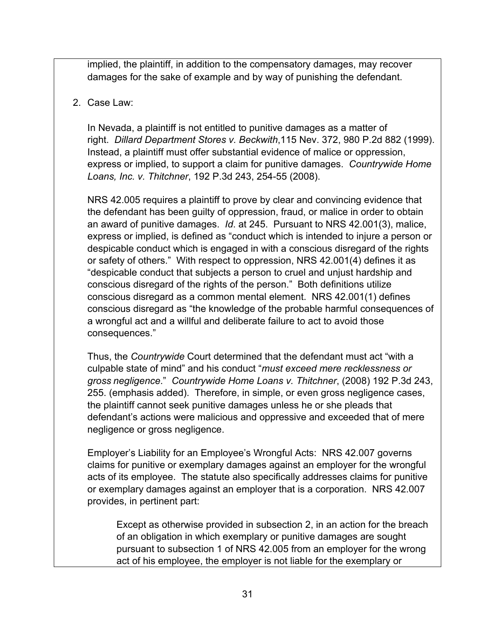implied, the plaintiff, in addition to the compensatory damages, may recover damages for the sake of example and by way of punishing the defendant.

### 2. Case Law:

In Nevada, a plaintiff is not entitled to punitive damages as a matter of right. *Dillard Department Stores v. Beckwith*,115 Nev. 372, 980 P.2d 882 (1999). Instead, a plaintiff must offer substantial evidence of malice or oppression, express or implied, to support a claim for punitive damages. *Countrywide Home Loans, Inc. v. Thitchner*, 192 P.3d 243, 254-55 (2008).

NRS 42.005 requires a plaintiff to prove by clear and convincing evidence that the defendant has been guilty of oppression, fraud, or malice in order to obtain an award of punitive damages. *Id*. at 245. Pursuant to NRS 42.001(3), malice, express or implied, is defined as "conduct which is intended to injure a person or despicable conduct which is engaged in with a conscious disregard of the rights or safety of others." With respect to oppression, NRS 42.001(4) defines it as "despicable conduct that subjects a person to cruel and unjust hardship and conscious disregard of the rights of the person." Both definitions utilize conscious disregard as a common mental element. NRS 42.001(1) defines conscious disregard as "the knowledge of the probable harmful consequences of a wrongful act and a willful and deliberate failure to act to avoid those consequences."

Thus, the *Countrywide* Court determined that the defendant must act "with a culpable state of mind" and his conduct "*must exceed mere recklessness or gross negligence*." *Countrywide Home Loans v. Thitchner*, (2008) 192 P.3d 243, 255. (emphasis added). Therefore, in simple, or even gross negligence cases, the plaintiff cannot seek punitive damages unless he or she pleads that defendant's actions were malicious and oppressive and exceeded that of mere negligence or gross negligence.

Employer's Liability for an Employee's Wrongful Acts: NRS 42.007 governs claims for punitive or exemplary damages against an employer for the wrongful acts of its employee. The statute also specifically addresses claims for punitive or exemplary damages against an employer that is a corporation. NRS 42.007 provides, in pertinent part:

Except as otherwise provided in subsection 2, in an action for the breach of an obligation in which exemplary or punitive damages are sought pursuant to subsection 1 of NRS 42.005 from an employer for the wrong act of his employee, the employer is not liable for the exemplary or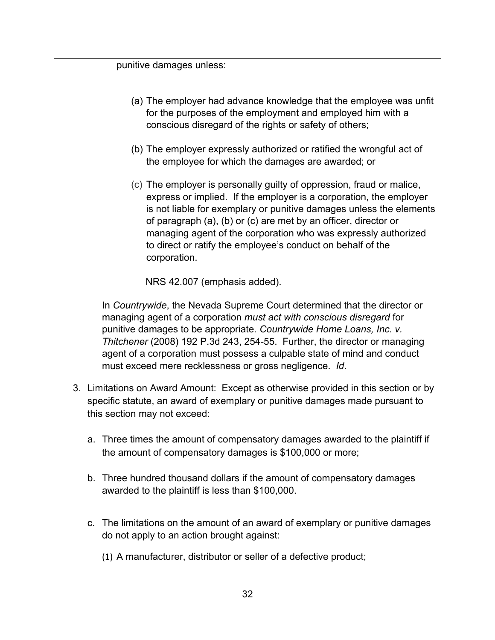punitive damages unless:

- (a) The employer had advance knowledge that the employee was unfit for the purposes of the employment and employed him with a conscious disregard of the rights or safety of others;
- (b) The employer expressly authorized or ratified the wrongful act of the employee for which the damages are awarded; or
- (c) The employer is personally guilty of oppression, fraud or malice, express or implied. If the employer is a corporation, the employer is not liable for exemplary or punitive damages unless the elements of paragraph (a), (b) or (c) are met by an officer, director or managing agent of the corporation who was expressly authorized to direct or ratify the employee's conduct on behalf of the corporation.

NRS 42.007 (emphasis added).

In *Countrywide*, the Nevada Supreme Court determined that the director or managing agent of a corporation *must act with conscious disregard* for punitive damages to be appropriate. *Countrywide Home Loans, Inc. v. Thitchener* (2008) 192 P.3d 243, 254-55. Further, the director or managing agent of a corporation must possess a culpable state of mind and conduct must exceed mere recklessness or gross negligence. *Id*.

- 3. Limitations on Award Amount: Except as otherwise provided in this section or by specific statute, an award of exemplary or punitive damages made pursuant to this section may not exceed:
	- a. Three times the amount of compensatory damages awarded to the plaintiff if the amount of compensatory damages is \$100,000 or more;
	- b. Three hundred thousand dollars if the amount of compensatory damages awarded to the plaintiff is less than \$100,000.
	- c. The limitations on the amount of an award of exemplary or punitive damages do not apply to an action brought against:
		- (1) A manufacturer, distributor or seller of a defective product;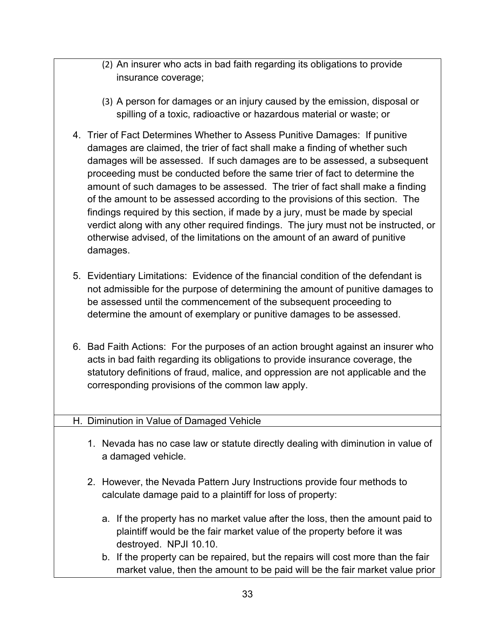- (2) An insurer who acts in bad faith regarding its obligations to provide insurance coverage;
- (3) A person for damages or an injury caused by the emission, disposal or spilling of a toxic, radioactive or hazardous material or waste; or
- 4. Trier of Fact Determines Whether to Assess Punitive Damages: If punitive damages are claimed, the trier of fact shall make a finding of whether such damages will be assessed. If such damages are to be assessed, a subsequent proceeding must be conducted before the same trier of fact to determine the amount of such damages to be assessed. The trier of fact shall make a finding of the amount to be assessed according to the provisions of this section. The findings required by this section, if made by a jury, must be made by special verdict along with any other required findings. The jury must not be instructed, or otherwise advised, of the limitations on the amount of an award of punitive damages.
- 5. Evidentiary Limitations: Evidence of the financial condition of the defendant is not admissible for the purpose of determining the amount of punitive damages to be assessed until the commencement of the subsequent proceeding to determine the amount of exemplary or punitive damages to be assessed.
- 6. Bad Faith Actions: For the purposes of an action brought against an insurer who acts in bad faith regarding its obligations to provide insurance coverage, the statutory definitions of fraud, malice, and oppression are not applicable and the corresponding provisions of the common law apply.

### H. Diminution in Value of Damaged Vehicle

- 1. Nevada has no case law or statute directly dealing with diminution in value of a damaged vehicle.
- 2. However, the Nevada Pattern Jury Instructions provide four methods to calculate damage paid to a plaintiff for loss of property:
	- a. If the property has no market value after the loss, then the amount paid to plaintiff would be the fair market value of the property before it was destroyed. NPJI 10.10.
	- b. If the property can be repaired, but the repairs will cost more than the fair market value, then the amount to be paid will be the fair market value prior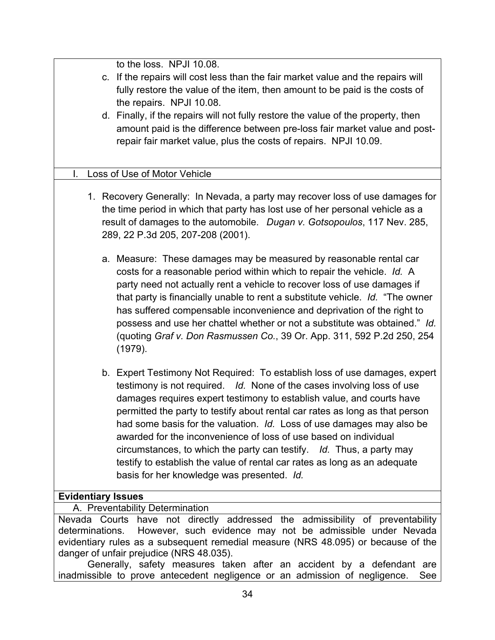| to the loss. NPJI 10.08.                                                          |
|-----------------------------------------------------------------------------------|
| c. If the repairs will cost less than the fair market value and the repairs will  |
| fully restore the value of the item, then amount to be paid is the costs of       |
| the repairs. NPJI 10.08.                                                          |
| d. Finally, if the repairs will not fully restore the value of the property, then |
|                                                                                   |
| amount paid is the difference between pre-loss fair market value and post-        |
| repair fair market value, plus the costs of repairs. NPJI 10.09.                  |
|                                                                                   |
| I.<br>Loss of Use of Motor Vehicle                                                |
|                                                                                   |
| 1. Recovery Generally: In Nevada, a party may recover loss of use damages for     |
| the time period in which that party has lost use of her personal vehicle as a     |
| result of damages to the automobile. Dugan v. Gotsopoulos, 117 Nev. 285,          |
| 289, 22 P.3d 205, 207-208 (2001).                                                 |
|                                                                                   |
| a. Measure: These damages may be measured by reasonable rental car                |
| costs for a reasonable period within which to repair the vehicle. Id. A           |
| party need not actually rent a vehicle to recover loss of use damages if          |
| that party is financially unable to rent a substitute vehicle. Id. "The owner     |
|                                                                                   |
| has suffered compensable inconvenience and deprivation of the right to            |
| possess and use her chattel whether or not a substitute was obtained." Id.        |
| (quoting Graf v. Don Rasmussen Co., 39 Or. App. 311, 592 P.2d 250, 254            |
| (1979).                                                                           |
|                                                                                   |
| b. Expert Testimony Not Required: To establish loss of use damages, expert        |
| testimony is not required. Id. None of the cases involving loss of use            |
| damages requires expert testimony to establish value, and courts have             |
| permitted the party to testify about rental car rates as long as that person      |
| had some basis for the valuation. Id. Loss of use damages may also be             |
| awarded for the inconvenience of loss of use based on individual                  |
| circumstances, to which the party can testify. Id. Thus, a party may              |
| testify to establish the value of rental car rates as long as an adequate         |
| basis for her knowledge was presented. Id.                                        |
|                                                                                   |
| <b>Evidentiary Issues</b>                                                         |
| A. Preventability Determination                                                   |
| Nevada Courts have not directly addressed the admissibility of preventability     |
| However, such evidence may not be admissible under Nevada<br>determinations.      |
| evidentiary rules as a subsequent remedial measure (NRS 48.095) or because of the |
| danger of unfair prejudice (NRS 48.035).                                          |
| Generally, safety measures taken after an accident by a defendant are             |
| inadmissible to prove antecedent negligence or an admission of negligence.<br>See |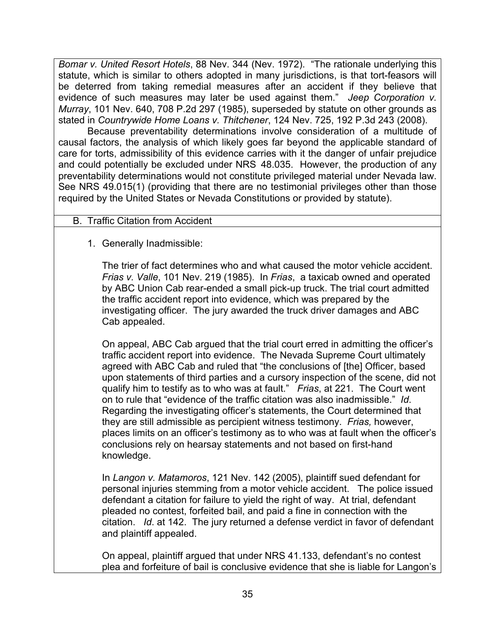*Bomar v. United Resort Hotels*, 88 Nev. 344 (Nev. 1972). "The rationale underlying this statute, which is similar to others adopted in many jurisdictions, is that tort-feasors will be deterred from taking remedial measures after an accident if they believe that evidence of such measures may later be used against them." *Jeep Corporation v. Murray*, 101 Nev. 640, 708 P.2d 297 (1985), superseded by statute on other grounds as stated in *Countrywide Home Loans v. Thitchener*, 124 Nev. 725, 192 P.3d 243 (2008).

Because preventability determinations involve consideration of a multitude of causal factors, the analysis of which likely goes far beyond the applicable standard of care for torts, admissibility of this evidence carries with it the danger of unfair prejudice and could potentially be excluded under NRS 48.035. However, the production of any preventability determinations would not constitute privileged material under Nevada law. See NRS 49.015(1) (providing that there are no testimonial privileges other than those required by the United States or Nevada Constitutions or provided by statute).

#### B. Traffic Citation from Accident

1. Generally Inadmissible:

The trier of fact determines who and what caused the motor vehicle accident. *Frias v. Valle*, 101 Nev. 219 (1985). In *Frias*, a taxicab owned and operated by ABC Union Cab rear-ended a small pick-up truck. The trial court admitted the traffic accident report into evidence, which was prepared by the investigating officer. The jury awarded the truck driver damages and ABC Cab appealed.

On appeal, ABC Cab argued that the trial court erred in admitting the officer's traffic accident report into evidence. The Nevada Supreme Court ultimately agreed with ABC Cab and ruled that "the conclusions of [the] Officer, based upon statements of third parties and a cursory inspection of the scene, did not qualify him to testify as to who was at fault." *Frias*, at 221. The Court went on to rule that "evidence of the traffic citation was also inadmissible." *Id*. Regarding the investigating officer's statements, the Court determined that they are still admissible as percipient witness testimony. *Frias,* however, places limits on an officer's testimony as to who was at fault when the officer's conclusions rely on hearsay statements and not based on first-hand knowledge.

In *Langon v. Matamoros*, 121 Nev. 142 (2005), plaintiff sued defendant for personal injuries stemming from a motor vehicle accident. The police issued defendant a citation for failure to yield the right of way. At trial, defendant pleaded no contest, forfeited bail, and paid a fine in connection with the citation. *Id*. at 142. The jury returned a defense verdict in favor of defendant and plaintiff appealed.

On appeal, plaintiff argued that under NRS 41.133, defendant's no contest plea and forfeiture of bail is conclusive evidence that she is liable for Langon's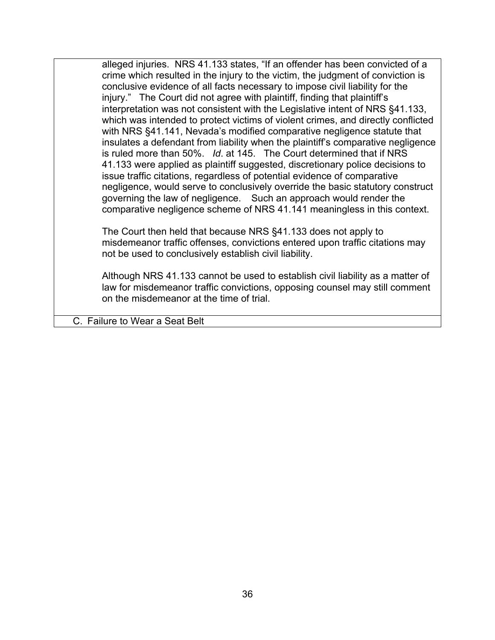alleged injuries. NRS 41.133 states, "If an offender has been convicted of a crime which resulted in the injury to the victim, the judgment of conviction is conclusive evidence of all facts necessary to impose civil liability for the injury." The Court did not agree with plaintiff, finding that plaintiff's interpretation was not consistent with the Legislative intent of NRS §41.133, which was intended to protect victims of violent crimes, and directly conflicted with NRS §41.141, Nevada's modified comparative negligence statute that insulates a defendant from liability when the plaintiff's comparative negligence is ruled more than 50%. *Id*. at 145. The Court determined that if NRS 41.133 were applied as plaintiff suggested, discretionary police decisions to issue traffic citations, regardless of potential evidence of comparative negligence, would serve to conclusively override the basic statutory construct governing the law of negligence. Such an approach would render the comparative negligence scheme of NRS 41.141 meaningless in this context.

The Court then held that because NRS §41.133 does not apply to misdemeanor traffic offenses, convictions entered upon traffic citations may not be used to conclusively establish civil liability.

Although NRS 41.133 cannot be used to establish civil liability as a matter of law for misdemeanor traffic convictions, opposing counsel may still comment on the misdemeanor at the time of trial.

C. Failure to Wear a Seat Belt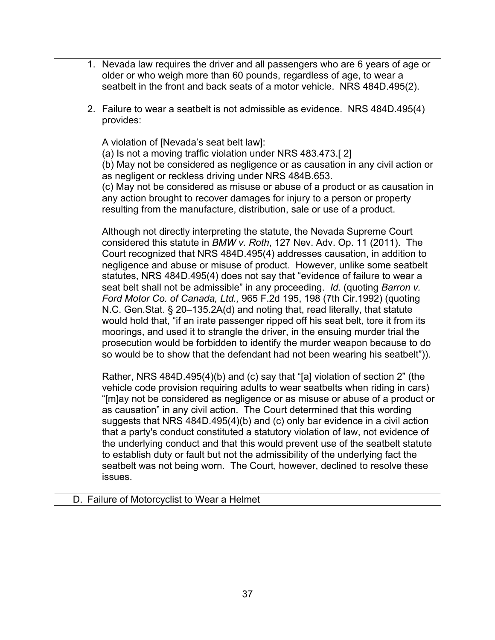|  | 1. Nevada law requires the driver and all passengers who are 6 years of age or<br>older or who weigh more than 60 pounds, regardless of age, to wear a<br>seatbelt in the front and back seats of a motor vehicle. NRS 484D.495(2).                                                                                                                                                                                                                                                                                                                                                                                                                                                                                                                                                                                                                                                                                                                                           |
|--|-------------------------------------------------------------------------------------------------------------------------------------------------------------------------------------------------------------------------------------------------------------------------------------------------------------------------------------------------------------------------------------------------------------------------------------------------------------------------------------------------------------------------------------------------------------------------------------------------------------------------------------------------------------------------------------------------------------------------------------------------------------------------------------------------------------------------------------------------------------------------------------------------------------------------------------------------------------------------------|
|  | 2. Failure to wear a seatbelt is not admissible as evidence. NRS 484D.495(4)<br>provides:                                                                                                                                                                                                                                                                                                                                                                                                                                                                                                                                                                                                                                                                                                                                                                                                                                                                                     |
|  | A violation of [Nevada's seat belt law]:<br>(a) Is not a moving traffic violation under NRS 483.473.[2]<br>(b) May not be considered as negligence or as causation in any civil action or<br>as negligent or reckless driving under NRS 484B.653.<br>(c) May not be considered as misuse or abuse of a product or as causation in<br>any action brought to recover damages for injury to a person or property<br>resulting from the manufacture, distribution, sale or use of a product.                                                                                                                                                                                                                                                                                                                                                                                                                                                                                      |
|  | Although not directly interpreting the statute, the Nevada Supreme Court<br>considered this statute in BMW v. Roth, 127 Nev. Adv. Op. 11 (2011). The<br>Court recognized that NRS 484D.495(4) addresses causation, in addition to<br>negligence and abuse or misuse of product. However, unlike some seatbelt<br>statutes, NRS 484D.495(4) does not say that "evidence of failure to wear a<br>seat belt shall not be admissible" in any proceeding. Id. (quoting Barron v.<br>Ford Motor Co. of Canada, Ltd., 965 F.2d 195, 198 (7th Cir.1992) (quoting<br>N.C. Gen. Stat. § 20-135.2A(d) and noting that, read literally, that statute<br>would hold that, "if an irate passenger ripped off his seat belt, tore it from its<br>moorings, and used it to strangle the driver, in the ensuing murder trial the<br>prosecution would be forbidden to identify the murder weapon because to do<br>so would be to show that the defendant had not been wearing his seatbelt")). |
|  | Rather, NRS 484D.495(4)(b) and (c) say that "[a] violation of section 2" (the<br>vehicle code provision requiring adults to wear seatbelts when riding in cars)<br>"[m]ay not be considered as negligence or as misuse or abuse of a product or<br>as causation" in any civil action. The Court determined that this wording<br>suggests that NRS 484D.495(4)(b) and (c) only bar evidence in a civil action<br>that a party's conduct constituted a statutory violation of law, not evidence of<br>the underlying conduct and that this would prevent use of the seatbelt statute<br>to establish duty or fault but not the admissibility of the underlying fact the<br>seatbelt was not being worn. The Court, however, declined to resolve these<br>issues.                                                                                                                                                                                                                |
|  |                                                                                                                                                                                                                                                                                                                                                                                                                                                                                                                                                                                                                                                                                                                                                                                                                                                                                                                                                                               |

D. Failure of Motorcyclist to Wear a Helmet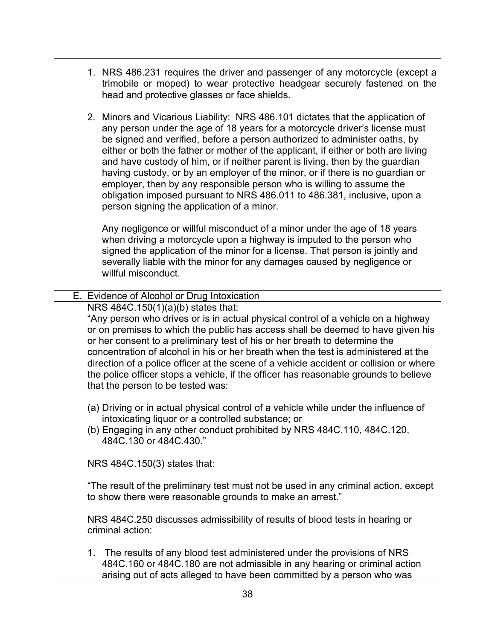- 1. NRS 486.231 requires the driver and passenger of any motorcycle (except a trimobile or moped) to wear protective headgear securely fastened on the head and protective glasses or face shields.
- 2. Minors and Vicarious Liability: NRS 486.101 dictates that the application of any person under the age of 18 years for a motorcycle driver's license must be signed and verified, before a person authorized to administer oaths, by either or both the father or mother of the applicant, if either or both are living and have custody of him, or if neither parent is living, then by the guardian having custody, or by an employer of the minor, or if there is no guardian or employer, then by any responsible person who is willing to assume the obligation imposed pursuant to NRS 486.011 to 486.381, inclusive, upon a person signing the application of a minor.

Any negligence or willful misconduct of a minor under the age of 18 years when driving a motorcycle upon a highway is imputed to the person who signed the application of the minor for a license. That person is jointly and severally liable with the minor for any damages caused by negligence or willful misconduct.

### E. Evidence of Alcohol or Drug Intoxication

NRS 484C.150(1)(a)(b) states that:

"Any person who drives or is in actual physical control of a vehicle on a highway or on premises to which the public has access shall be deemed to have given his or her consent to a preliminary test of his or her breath to determine the concentration of alcohol in his or her breath when the test is administered at the direction of a police officer at the scene of a vehicle accident or collision or where the police officer stops a vehicle, if the officer has reasonable grounds to believe that the person to be tested was:

- (a) Driving or in actual physical control of a vehicle while under the influence of intoxicating liquor or a controlled substance; or
- (b) Engaging in any other conduct prohibited by NRS 484C.110, 484C.120, 484C.130 or 484C.430."

NRS 484C.150(3) states that:

"The result of the preliminary test must not be used in any criminal action, except to show there were reasonable grounds to make an arrest."

NRS 484C.250 discusses admissibility of results of blood tests in hearing or criminal action:

1. The results of any blood test administered under the provisions of NRS 484C.160 or 484C.180 are not admissible in any hearing or criminal action arising out of acts alleged to have been committed by a person who was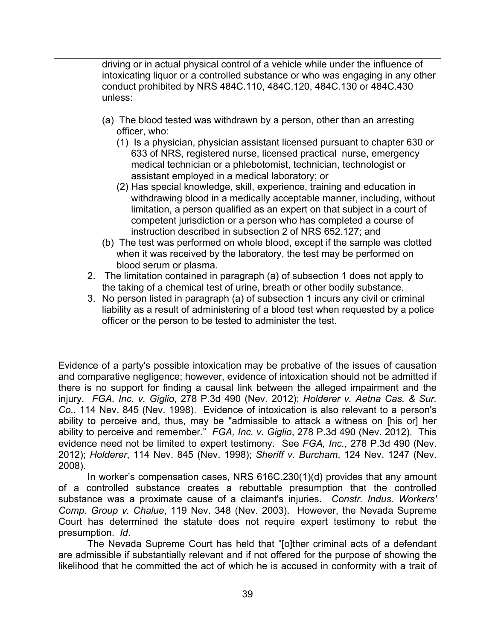driving or in actual physical control of a vehicle while under the influence of intoxicating liquor or a controlled substance or who was engaging in any other conduct prohibited by NRS 484C.110, 484C.120, 484C.130 or 484C.430 unless:

- (a) The blood tested was withdrawn by a person, other than an arresting officer, who:
	- (1) Is a physician, physician assistant licensed pursuant to chapter 630 or 633 of NRS, registered nurse, licensed practical nurse, emergency medical technician or a phlebotomist, technician, technologist or assistant employed in a medical laboratory; or
	- (2) Has special knowledge, skill, experience, training and education in withdrawing blood in a medically acceptable manner, including, without limitation, a person qualified as an expert on that subject in a court of competent jurisdiction or a person who has completed a course of instruction described in subsection 2 of NRS 652.127; and
- (b) The test was performed on whole blood, except if the sample was clotted when it was received by the laboratory, the test may be performed on blood serum or plasma.
- 2. The limitation contained in paragraph (a) of subsection 1 does not apply to the taking of a chemical test of urine, breath or other bodily substance.
- 3. No person listed in paragraph (a) of subsection 1 incurs any civil or criminal liability as a result of administering of a blood test when requested by a police officer or the person to be tested to administer the test.

Evidence of a party's possible intoxication may be probative of the issues of causation and comparative negligence; however, evidence of intoxication should not be admitted if there is no support for finding a causal link between the alleged impairment and the injury. *FGA, Inc. v. Giglio*, 278 P.3d 490 (Nev. 2012); *Holderer v. Aetna Cas. & Sur. Co.*, 114 Nev. 845 (Nev. 1998). Evidence of intoxication is also relevant to a person's ability to perceive and, thus, may be "admissible to attack a witness on [his or] her ability to perceive and remember." *FGA, Inc. v. Giglio*, 278 P.3d 490 (Nev. 2012). This evidence need not be limited to expert testimony. See *FGA, Inc.*, 278 P.3d 490 (Nev. 2012); *Holderer*, 114 Nev. 845 (Nev. 1998); *Sheriff v. Burcham*, 124 Nev. 1247 (Nev. 2008).

In worker's compensation cases, NRS 616C.230(1)(d) provides that any amount of a controlled substance creates a rebuttable presumption that the controlled substance was a proximate cause of a claimant's injuries. *Constr. Indus. Workers' Comp. Group v. Chalue*, 119 Nev. 348 (Nev. 2003). However, the Nevada Supreme Court has determined the statute does not require expert testimony to rebut the presumption. *Id*.

The Nevada Supreme Court has held that "[o]ther criminal acts of a defendant are admissible if substantially relevant and if not offered for the purpose of showing the likelihood that he committed the act of which he is accused in conformity with a trait of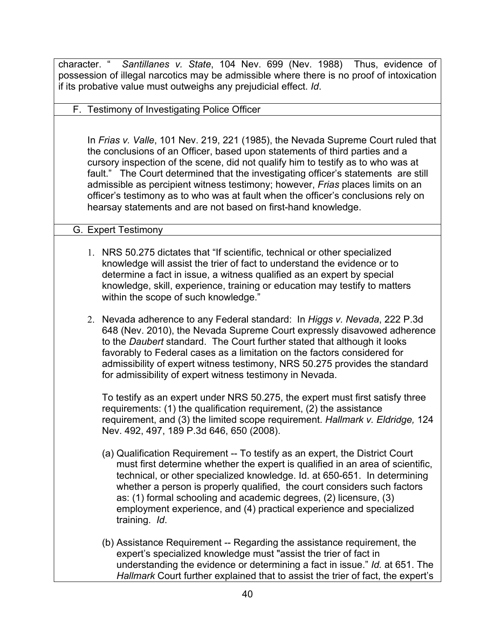character. " *Santillanes v. State*, 104 Nev. 699 (Nev. 1988) Thus, evidence of possession of illegal narcotics may be admissible where there is no proof of intoxication if its probative value must outweighs any prejudicial effect. *Id*.

F. Testimony of Investigating Police Officer

In *Frias v. Valle*, 101 Nev. 219, 221 (1985), the Nevada Supreme Court ruled that the conclusions of an Officer, based upon statements of third parties and a cursory inspection of the scene, did not qualify him to testify as to who was at fault." The Court determined that the investigating officer's statements are still admissible as percipient witness testimony; however, *Frias* places limits on an officer's testimony as to who was at fault when the officer's conclusions rely on hearsay statements and are not based on first-hand knowledge.

### G. Expert Testimony

- 1. NRS 50.275 dictates that "If scientific, technical or other specialized knowledge will assist the trier of fact to understand the evidence or to determine a fact in issue, a witness qualified as an expert by special knowledge, skill, experience, training or education may testify to matters within the scope of such knowledge."
- 2. Nevada adherence to any Federal standard: In *Higgs v. Nevada*, 222 P.3d 648 (Nev. 2010), the Nevada Supreme Court expressly disavowed adherence to the *Daubert* standard. The Court further stated that although it looks favorably to Federal cases as a limitation on the factors considered for admissibility of expert witness testimony, NRS 50.275 provides the standard for admissibility of expert witness testimony in Nevada.

To testify as an expert under NRS 50.275, the expert must first satisfy three requirements: (1) the qualification requirement, (2) the assistance requirement, and (3) the limited scope requirement. *Hallmark v. Eldridge,* 124 Nev. 492, 497, 189 P.3d 646, 650 (2008).

- (a) Qualification Requirement -- To testify as an expert, the District Court must first determine whether the expert is qualified in an area of scientific, technical, or other specialized knowledge. Id. at 650-651. In determining whether a person is properly qualified, the court considers such factors as: (1) formal schooling and academic degrees, (2) licensure, (3) employment experience, and (4) practical experience and specialized training. *Id*.
- (b) Assistance Requirement -- Regarding the assistance requirement, the expert's specialized knowledge must "assist the trier of fact in understanding the evidence or determining a fact in issue." *Id.* at 651. The *Hallmark* Court further explained that to assist the trier of fact, the expert's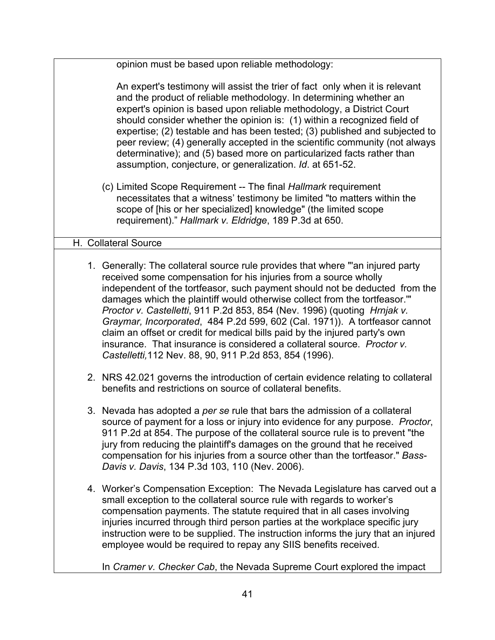| opinion must be based upon reliable methodology:                                                                                                                                                                                                                                                                                                                                                                                                                                                                                                                                                                                                                                              |
|-----------------------------------------------------------------------------------------------------------------------------------------------------------------------------------------------------------------------------------------------------------------------------------------------------------------------------------------------------------------------------------------------------------------------------------------------------------------------------------------------------------------------------------------------------------------------------------------------------------------------------------------------------------------------------------------------|
| An expert's testimony will assist the trier of fact only when it is relevant<br>and the product of reliable methodology. In determining whether an<br>expert's opinion is based upon reliable methodology, a District Court<br>should consider whether the opinion is: (1) within a recognized field of<br>expertise; (2) testable and has been tested; (3) published and subjected to<br>peer review; (4) generally accepted in the scientific community (not always<br>determinative); and (5) based more on particularized facts rather than<br>assumption, conjecture, or generalization. Id. at 651-52.                                                                                  |
| (c) Limited Scope Requirement -- The final Hallmark requirement<br>necessitates that a witness' testimony be limited "to matters within the<br>scope of [his or her specialized] knowledge" (the limited scope<br>requirement)." Hallmark v. Eldridge, 189 P.3d at 650.                                                                                                                                                                                                                                                                                                                                                                                                                       |
| H. Collateral Source                                                                                                                                                                                                                                                                                                                                                                                                                                                                                                                                                                                                                                                                          |
| 1. Generally: The collateral source rule provides that where "an injured party<br>received some compensation for his injuries from a source wholly<br>independent of the tortfeasor, such payment should not be deducted from the<br>damages which the plaintiff would otherwise collect from the tortfeasor."<br>Proctor v. Castelletti, 911 P.2d 853, 854 (Nev. 1996) (quoting Hrnjak v.<br>Graymar, Incorporated, 484 P.2d 599, 602 (Cal. 1971)). A tortfeasor cannot<br>claim an offset or credit for medical bills paid by the injured party's own<br>insurance. That insurance is considered a collateral source. Proctor v.<br>Castelletti, 112 Nev. 88, 90, 911 P.2d 853, 854 (1996). |
| 2. NRS 42.021 governs the introduction of certain evidence relating to collateral<br>benefits and restrictions on source of collateral benefits.                                                                                                                                                                                                                                                                                                                                                                                                                                                                                                                                              |
| 3. Nevada has adopted a per se rule that bars the admission of a collateral<br>source of payment for a loss or injury into evidence for any purpose. Proctor,<br>911 P.2d at 854. The purpose of the collateral source rule is to prevent "the<br>jury from reducing the plaintiff's damages on the ground that he received<br>compensation for his injuries from a source other than the tortfeasor." Bass-<br>Davis v. Davis, 134 P.3d 103, 110 (Nev. 2006).                                                                                                                                                                                                                                |
| 4. Worker's Compensation Exception: The Nevada Legislature has carved out a<br>small exception to the collateral source rule with regards to worker's<br>compensation payments. The statute required that in all cases involving<br>injuries incurred through third person parties at the workplace specific jury<br>instruction were to be supplied. The instruction informs the jury that an injured<br>employee would be required to repay any SIIS benefits received.                                                                                                                                                                                                                     |
| In Cramer v. Checker Cab, the Nevada Supreme Court explored the impact                                                                                                                                                                                                                                                                                                                                                                                                                                                                                                                                                                                                                        |

41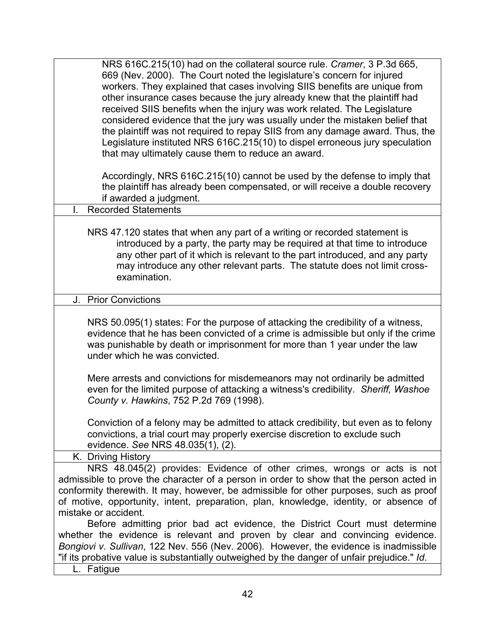| NRS 616C.215(10) had on the collateral source rule. Cramer, 3 P.3d 665,<br>669 (Nev. 2000). The Court noted the legislature's concern for injured<br>workers. They explained that cases involving SIIS benefits are unique from<br>other insurance cases because the jury already knew that the plaintiff had<br>received SIIS benefits when the injury was work related. The Legislature<br>considered evidence that the jury was usually under the mistaken belief that<br>the plaintiff was not required to repay SIIS from any damage award. Thus, the<br>Legislature instituted NRS 616C.215(10) to dispel erroneous jury speculation<br>that may ultimately cause them to reduce an award. |
|--------------------------------------------------------------------------------------------------------------------------------------------------------------------------------------------------------------------------------------------------------------------------------------------------------------------------------------------------------------------------------------------------------------------------------------------------------------------------------------------------------------------------------------------------------------------------------------------------------------------------------------------------------------------------------------------------|
| Accordingly, NRS 616C.215(10) cannot be used by the defense to imply that<br>the plaintiff has already been compensated, or will receive a double recovery<br>if awarded a judgment.                                                                                                                                                                                                                                                                                                                                                                                                                                                                                                             |
| <b>Recorded Statements</b><br>L.                                                                                                                                                                                                                                                                                                                                                                                                                                                                                                                                                                                                                                                                 |
| NRS 47.120 states that when any part of a writing or recorded statement is<br>introduced by a party, the party may be required at that time to introduce<br>any other part of it which is relevant to the part introduced, and any party<br>may introduce any other relevant parts. The statute does not limit cross-<br>examination.                                                                                                                                                                                                                                                                                                                                                            |
| <b>Prior Convictions</b><br>J.                                                                                                                                                                                                                                                                                                                                                                                                                                                                                                                                                                                                                                                                   |
| NRS 50.095(1) states: For the purpose of attacking the credibility of a witness,<br>evidence that he has been convicted of a crime is admissible but only if the crime<br>was punishable by death or imprisonment for more than 1 year under the law<br>under which he was convicted.                                                                                                                                                                                                                                                                                                                                                                                                            |
| Mere arrests and convictions for misdemeanors may not ordinarily be admitted<br>even for the limited purpose of attacking a witness's credibility. Sheriff, Washoe<br>County v. Hawkins, 752 P.2d 769 (1998).                                                                                                                                                                                                                                                                                                                                                                                                                                                                                    |
| Conviction of a felony may be admitted to attack credibility, but even as to felony<br>convictions, a trial court may properly exercise discretion to exclude such<br>evidence. See NRS 48.035(1), (2).                                                                                                                                                                                                                                                                                                                                                                                                                                                                                          |
| K. Driving History                                                                                                                                                                                                                                                                                                                                                                                                                                                                                                                                                                                                                                                                               |
| NRS 48.045(2) provides: Evidence of other crimes, wrongs or acts is not<br>admissible to prove the character of a person in order to show that the person acted in<br>conformity therewith. It may, however, be admissible for other purposes, such as proof<br>of motive, opportunity, intent, preparation, plan, knowledge, identity, or absence of<br>mistake or accident.<br>Before admitting prior bad act evidence, the District Court must determine                                                                                                                                                                                                                                      |
| whether the evidence is relevant and proven by clear and convincing evidence.<br>Bongiovi v. Sullivan, 122 Nev. 556 (Nev. 2006). However, the evidence is inadmissible<br>"if its probative value is substantially outweighed by the danger of unfair prejudice." Id.                                                                                                                                                                                                                                                                                                                                                                                                                            |

L. Fatigue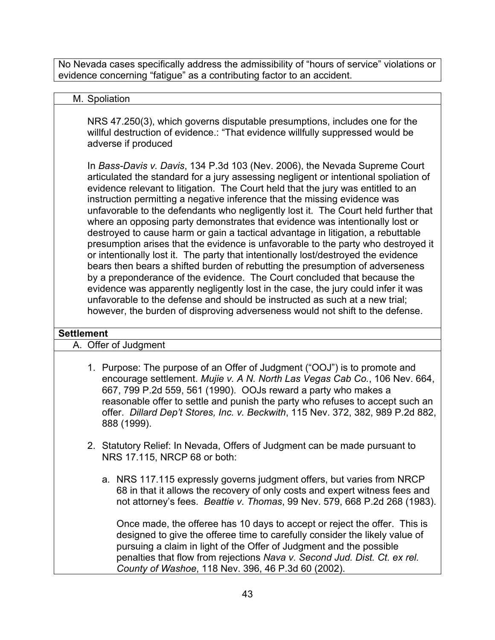No Nevada cases specifically address the admissibility of "hours of service" violations or evidence concerning "fatigue" as a contributing factor to an accident.

#### M. Spoliation

NRS 47.250(3), which governs disputable presumptions, includes one for the willful destruction of evidence.: "That evidence willfully suppressed would be adverse if produced

In *Bass-Davis v. Davis*, 134 P.3d 103 (Nev. 2006), the Nevada Supreme Court articulated the standard for a jury assessing negligent or intentional spoliation of evidence relevant to litigation. The Court held that the jury was entitled to an instruction permitting a negative inference that the missing evidence was unfavorable to the defendants who negligently lost it. The Court held further that where an opposing party demonstrates that evidence was intentionally lost or destroyed to cause harm or gain a tactical advantage in litigation, a rebuttable presumption arises that the evidence is unfavorable to the party who destroyed it or intentionally lost it. The party that intentionally lost/destroyed the evidence bears then bears a shifted burden of rebutting the presumption of adverseness by a preponderance of the evidence. The Court concluded that because the evidence was apparently negligently lost in the case, the jury could infer it was unfavorable to the defense and should be instructed as such at a new trial; however, the burden of disproving adverseness would not shift to the defense.

#### **Settlement**

A. Offer of Judgment

- 1. Purpose: The purpose of an Offer of Judgment ("OOJ") is to promote and encourage settlement. *Mujie v. A N. North Las Vegas Cab Co.*, 106 Nev. 664, 667, 799 P.2d 559, 561 (1990). OOJs reward a party who makes a reasonable offer to settle and punish the party who refuses to accept such an offer. *Dillard Dep't Stores, Inc. v. Beckwith*, 115 Nev. 372, 382, 989 P.2d 882, 888 (1999).
- 2. Statutory Relief: In Nevada, Offers of Judgment can be made pursuant to NRS 17.115, NRCP 68 or both:
	- a. NRS 117.115 expressly governs judgment offers, but varies from NRCP 68 in that it allows the recovery of only costs and expert witness fees and not attorney's fees. *Beattie v. Thomas*, 99 Nev. 579, 668 P.2d 268 (1983).

Once made, the offeree has 10 days to accept or reject the offer. This is designed to give the offeree time to carefully consider the likely value of pursuing a claim in light of the Offer of Judgment and the possible penalties that flow from rejections *Nava v. Second Jud. Dist. Ct. ex rel. County of Washoe*, 118 Nev. 396, 46 P.3d 60 (2002).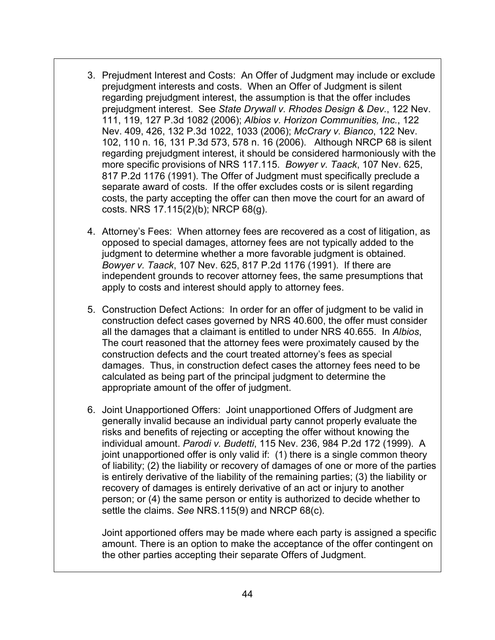- 3. Prejudment Interest and Costs: An Offer of Judgment may include or exclude prejudgment interests and costs. When an Offer of Judgment is silent regarding prejudgment interest, the assumption is that the offer includes prejudgment interest. See *State Drywall v. Rhodes Design & Dev.*, 122 Nev. 111, 119, 127 P.3d 1082 (2006); *Albios v. Horizon Communities, Inc.*, 122 Nev. 409, 426, 132 P.3d 1022, 1033 (2006); *McCrary v. Bianco*, 122 Nev. 102, 110 n. 16, 131 P.3d 573, 578 n. 16 (2006). Although NRCP 68 is silent regarding prejudgment interest, it should be considered harmoniously with the more specific provisions of NRS 117.115. *Bowyer v. Taack*, 107 Nev. 625, 817 P.2d 1176 (1991). The Offer of Judgment must specifically preclude a separate award of costs. If the offer excludes costs or is silent regarding costs, the party accepting the offer can then move the court for an award of costs. NRS 17.115(2)(b); NRCP 68(g).
- 4. Attorney's Fees: When attorney fees are recovered as a cost of litigation, as opposed to special damages, attorney fees are not typically added to the judgment to determine whether a more favorable judgment is obtained*. Bowyer v. Taack*, 107 Nev. 625, 817 P.2d 1176 (1991). If there are independent grounds to recover attorney fees, the same presumptions that apply to costs and interest should apply to attorney fees.
- 5. Construction Defect Actions: In order for an offer of judgment to be valid in construction defect cases governed by NRS 40.600, the offer must consider all the damages that a claimant is entitled to under NRS 40.655. In *Albios*, The court reasoned that the attorney fees were proximately caused by the construction defects and the court treated attorney's fees as special damages. Thus, in construction defect cases the attorney fees need to be calculated as being part of the principal judgment to determine the appropriate amount of the offer of judgment.
- 6. Joint Unapportioned Offers: Joint unapportioned Offers of Judgment are generally invalid because an individual party cannot properly evaluate the risks and benefits of rejecting or accepting the offer without knowing the individual amount. *Parodi v. Budetti*, 115 Nev. 236, 984 P.2d 172 (1999). A joint unapportioned offer is only valid if: (1) there is a single common theory of liability; (2) the liability or recovery of damages of one or more of the parties is entirely derivative of the liability of the remaining parties; (3) the liability or recovery of damages is entirely derivative of an act or injury to another person; or (4) the same person or entity is authorized to decide whether to settle the claims. *See* NRS.115(9) and NRCP 68(c).

Joint apportioned offers may be made where each party is assigned a specific amount. There is an option to make the acceptance of the offer contingent on the other parties accepting their separate Offers of Judgment.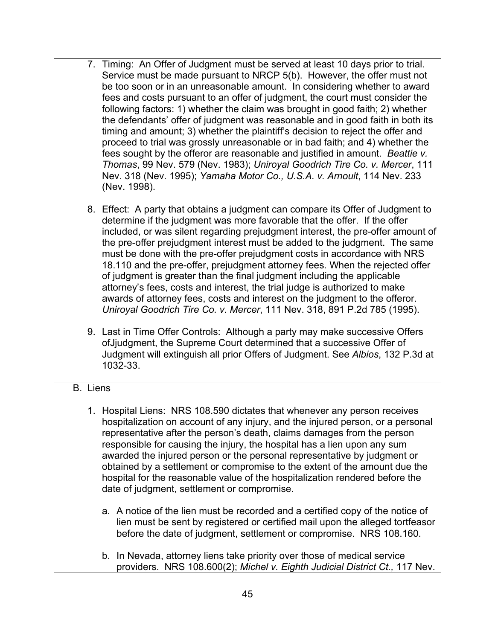- 7. Timing: An Offer of Judgment must be served at least 10 days prior to trial. Service must be made pursuant to NRCP 5(b). However, the offer must not be too soon or in an unreasonable amount. In considering whether to award fees and costs pursuant to an offer of judgment, the court must consider the following factors: 1) whether the claim was brought in good faith; 2) whether the defendants' offer of judgment was reasonable and in good faith in both its timing and amount; 3) whether the plaintiff's decision to reject the offer and proceed to trial was grossly unreasonable or in bad faith; and 4) whether the fees sought by the offeror are reasonable and justified in amount. *Beattie v. Thomas*, 99 Nev. 579 (Nev. 1983); *Uniroyal Goodrich Tire Co. v. Mercer*, 111 Nev. 318 (Nev. 1995); *Yamaha Motor Co., U.S.A. v. Arnoult*, 114 Nev. 233 (Nev. 1998).
- 8. Effect: A party that obtains a judgment can compare its Offer of Judgment to determine if the judgment was more favorable that the offer. If the offer included, or was silent regarding prejudgment interest, the pre-offer amount of the pre-offer prejudgment interest must be added to the judgment. The same must be done with the pre-offer prejudgment costs in accordance with NRS 18.110 and the pre-offer, prejudgment attorney fees. When the rejected offer of judgment is greater than the final judgment including the applicable attorney's fees, costs and interest, the trial judge is authorized to make awards of attorney fees, costs and interest on the judgment to the offeror. *Uniroyal Goodrich Tire Co. v. Mercer*, 111 Nev. 318, 891 P.2d 785 (1995).
- 9. Last in Time Offer Controls: Although a party may make successive Offers ofJjudgment, the Supreme Court determined that a successive Offer of Judgment will extinguish all prior Offers of Judgment. See *Albios*, 132 P.3d at 1032-33.

# B. Liens 1. Hospital Liens: NRS 108.590 dictates that whenever any person receives hospitalization on account of any injury, and the injured person, or a personal representative after the person's death, claims damages from the person responsible for causing the injury, the hospital has a lien upon any sum

- awarded the injured person or the personal representative by judgment or obtained by a settlement or compromise to the extent of the amount due the hospital for the reasonable value of the hospitalization rendered before the date of judgment, settlement or compromise.
	- a. A notice of the lien must be recorded and a certified copy of the notice of lien must be sent by registered or certified mail upon the alleged tortfeasor before the date of judgment, settlement or compromise. NRS 108.160.
	- b. In Nevada, attorney liens take priority over those of medical service providers. NRS 108.600(2); *Michel v. Eighth Judicial District Ct.,* 117 Nev.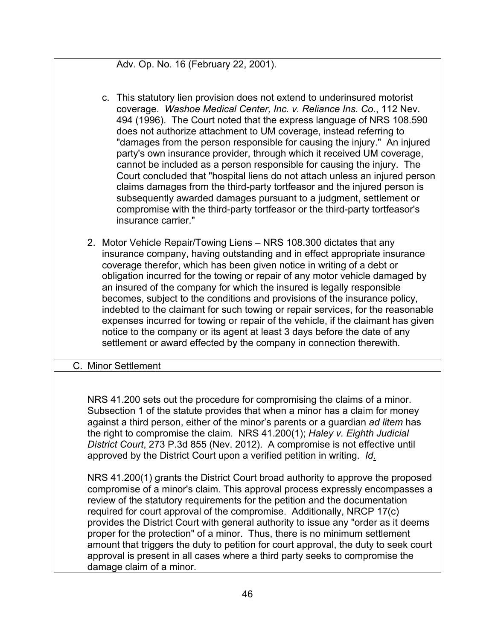Adv. Op. No. 16 (February 22, 2001).

- c. This statutory lien provision does not extend to underinsured motorist coverage. *Washoe Medical Center, Inc. v. Reliance Ins. Co.*, 112 Nev. 494 (1996). The Court noted that the express language of NRS 108.590 does not authorize attachment to UM coverage, instead referring to "damages from the person responsible for causing the injury." An injured party's own insurance provider, through which it received UM coverage, cannot be included as a person responsible for causing the injury. The Court concluded that "hospital liens do not attach unless an injured person claims damages from the third-party tortfeasor and the injured person is subsequently awarded damages pursuant to a judgment, settlement or compromise with the third-party tortfeasor or the third-party tortfeasor's insurance carrier."
- 2. Motor Vehicle Repair/Towing Liens NRS 108.300 dictates that any insurance company, having outstanding and in effect appropriate insurance coverage therefor, which has been given notice in writing of a debt or obligation incurred for the towing or repair of any motor vehicle damaged by an insured of the company for which the insured is legally responsible becomes, subject to the conditions and provisions of the insurance policy, indebted to the claimant for such towing or repair services, for the reasonable expenses incurred for towing or repair of the vehicle, if the claimant has given notice to the company or its agent at least 3 days before the date of any settlement or award effected by the company in connection therewith.

### C. Minor Settlement

NRS 41.200 sets out the procedure for compromising the claims of a minor. Subsection 1 of the statute provides that when a minor has a claim for money against a third person, either of the minor's parents or a guardian *ad litem* has the right to compromise the claim. NRS 41.200(1); *Haley v. Eighth Judicial District Court*, 273 P.3d 855 (Nev. 2012). A compromise is not effective until approved by the District Court upon a verified petition in writing. *Id*.

NRS 41.200(1) grants the District Court broad authority to approve the proposed compromise of a minor's claim. This approval process expressly encompasses a review of the statutory requirements for the petition and the documentation required for court approval of the compromise. Additionally, NRCP 17(c) provides the District Court with general authority to issue any "order as it deems proper for the protection" of a minor. Thus, there is no minimum settlement amount that triggers the duty to petition for court approval, the duty to seek court approval is present in all cases where a third party seeks to compromise the damage claim of a minor.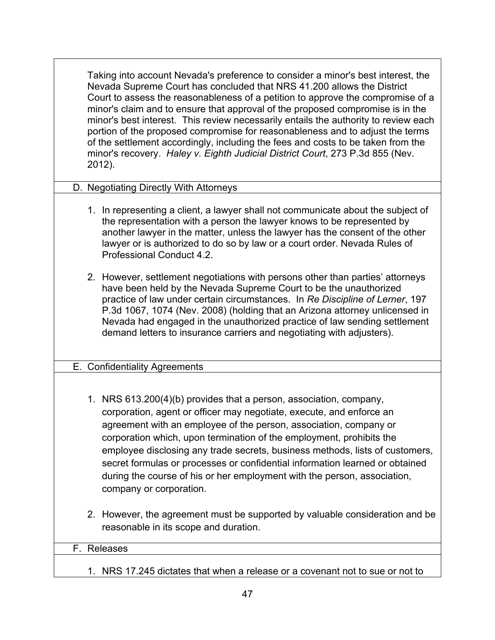Taking into account Nevada's preference to consider a minor's best interest, the Nevada Supreme Court has concluded that NRS 41.200 allows the District Court to assess the reasonableness of a petition to approve the compromise of a minor's claim and to ensure that approval of the proposed compromise is in the minor's best interest. This review necessarily entails the authority to review each portion of the proposed compromise for reasonableness and to adjust the terms of the settlement accordingly, including the fees and costs to be taken from the minor's recovery. *Haley v. Eighth Judicial District Court*, 273 P.3d 855 (Nev. 2012).

- D. Negotiating Directly With Attorneys
	- 1. In representing a client, a lawyer shall not communicate about the subject of the representation with a person the lawyer knows to be represented by another lawyer in the matter, unless the lawyer has the consent of the other lawyer or is authorized to do so by law or a court order. Nevada Rules of Professional Conduct 4.2.
	- 2. However, settlement negotiations with persons other than parties' attorneys have been held by the Nevada Supreme Court to be the unauthorized practice of law under certain circumstances. In *Re Discipline of Lerner*, 197 P.3d 1067, 1074 (Nev. 2008) (holding that an Arizona attorney unlicensed in Nevada had engaged in the unauthorized practice of law sending settlement demand letters to insurance carriers and negotiating with adjusters).

#### E. Confidentiality Agreements

- 1. NRS 613.200(4)(b) provides that a person, association, company, corporation, agent or officer may negotiate, execute, and enforce an agreement with an employee of the person, association, company or corporation which, upon termination of the employment, prohibits the employee disclosing any trade secrets, business methods, lists of customers, secret formulas or processes or confidential information learned or obtained during the course of his or her employment with the person, association, company or corporation.
- 2. However, the agreement must be supported by valuable consideration and be reasonable in its scope and duration.

| F. Releases                                                                   |
|-------------------------------------------------------------------------------|
|                                                                               |
|                                                                               |
| 1. NRS 17.245 dictates that when a release or a covenant not to sue or not to |
|                                                                               |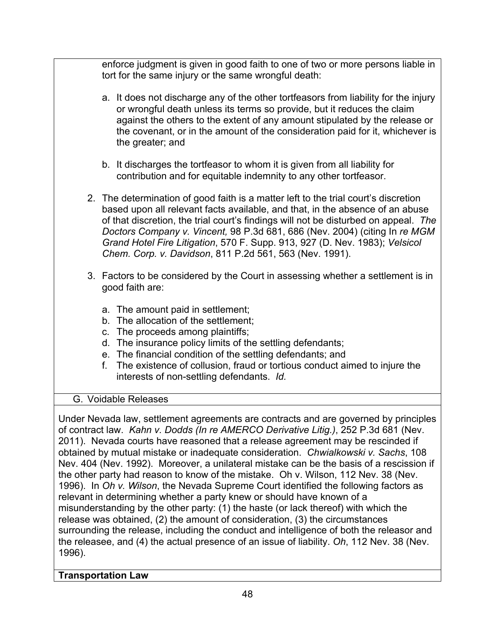enforce judgment is given in good faith to one of two or more persons liable in tort for the same injury or the same wrongful death:

- a. It does not discharge any of the other tortfeasors from liability for the injury or wrongful death unless its terms so provide, but it reduces the claim against the others to the extent of any amount stipulated by the release or the covenant, or in the amount of the consideration paid for it, whichever is the greater; and
- b. It discharges the tortfeasor to whom it is given from all liability for contribution and for equitable indemnity to any other tortfeasor.
- 2. The determination of good faith is a matter left to the trial court's discretion based upon all relevant facts available, and that, in the absence of an abuse of that discretion, the trial court's findings will not be disturbed on appeal. *The Doctors Company v. Vincent,* 98 P.3d 681, 686 (Nev. 2004) (citing In *re MGM Grand Hotel Fire Litigation*, 570 F. Supp. 913, 927 (D. Nev. 1983); *Velsicol Chem. Corp. v. Davidson*, 811 P.2d 561, 563 (Nev. 1991).
- 3. Factors to be considered by the Court in assessing whether a settlement is in good faith are:
	- a. The amount paid in settlement;
	- b. The allocation of the settlement;
	- c. The proceeds among plaintiffs;
	- d. The insurance policy limits of the settling defendants;
	- e. The financial condition of the settling defendants; and
	- f. The existence of collusion, fraud or tortious conduct aimed to injure the interests of non-settling defendants. *Id.*

# G. Voidable Releases

Under Nevada law, settlement agreements are contracts and are governed by principles of contract law. *Kahn v. Dodds (In re AMERCO Derivative Litig.)*, 252 P.3d 681 (Nev. 2011). Nevada courts have reasoned that a release agreement may be rescinded if obtained by mutual mistake or inadequate consideration. *Chwialkowski v. Sachs*, 108 Nev. 404 (Nev. 1992). Moreover, a unilateral mistake can be the basis of a rescission if the other party had reason to know of the mistake. Oh v. Wilson, 112 Nev. 38 (Nev. 1996). In *Oh v. Wilson*, the Nevada Supreme Court identified the following factors as relevant in determining whether a party knew or should have known of a misunderstanding by the other party: (1) the haste (or lack thereof) with which the release was obtained, (2) the amount of consideration, (3) the circumstances surrounding the release, including the conduct and intelligence of both the releasor and the releasee, and (4) the actual presence of an issue of liability. *Oh*, 112 Nev. 38 (Nev. 1996).

# **Transportation Law**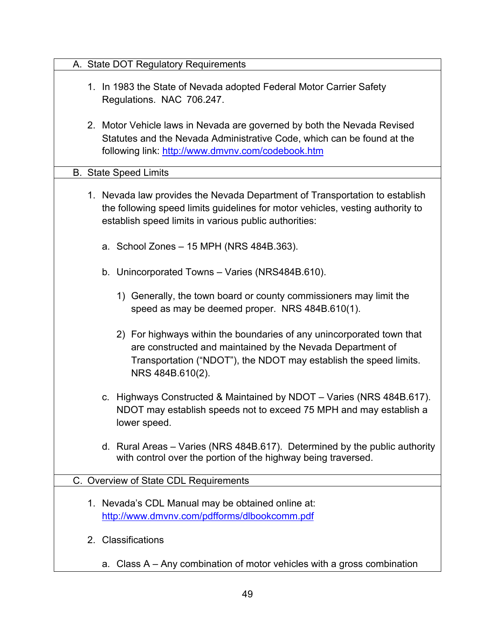| A. State DOT Regulatory Requirements                                                                                                                                                                                         |
|------------------------------------------------------------------------------------------------------------------------------------------------------------------------------------------------------------------------------|
| 1. In 1983 the State of Nevada adopted Federal Motor Carrier Safety<br>Regulations. NAC 706.247.                                                                                                                             |
| 2. Motor Vehicle laws in Nevada are governed by both the Nevada Revised<br>Statutes and the Nevada Administrative Code, which can be found at the<br>following link: http://www.dmvnv.com/codebook.htm                       |
| <b>B.</b> State Speed Limits                                                                                                                                                                                                 |
| 1. Nevada law provides the Nevada Department of Transportation to establish<br>the following speed limits guidelines for motor vehicles, vesting authority to<br>establish speed limits in various public authorities:       |
| a. School Zones - 15 MPH (NRS 484B.363).                                                                                                                                                                                     |
| b. Unincorporated Towns - Varies (NRS484B.610).                                                                                                                                                                              |
| 1) Generally, the town board or county commissioners may limit the<br>speed as may be deemed proper. NRS 484B.610(1).                                                                                                        |
| 2) For highways within the boundaries of any unincorporated town that<br>are constructed and maintained by the Nevada Department of<br>Transportation ("NDOT"), the NDOT may establish the speed limits.<br>NRS 484B.610(2). |
| c. Highways Constructed & Maintained by NDOT - Varies (NRS 484B.617).<br>NDOT may establish speeds not to exceed 75 MPH and may establish a<br>lower speed.                                                                  |
| d. Rural Areas – Varies (NRS 484B.617). Determined by the public authority<br>with control over the portion of the highway being traversed.                                                                                  |
| C. Overview of State CDL Requirements                                                                                                                                                                                        |
| 1. Nevada's CDL Manual may be obtained online at:<br>http://www.dmvnv.com/pdfforms/dlbookcomm.pdf                                                                                                                            |
| 2. Classifications                                                                                                                                                                                                           |
| a. Class A – Any combination of motor vehicles with a gross combination                                                                                                                                                      |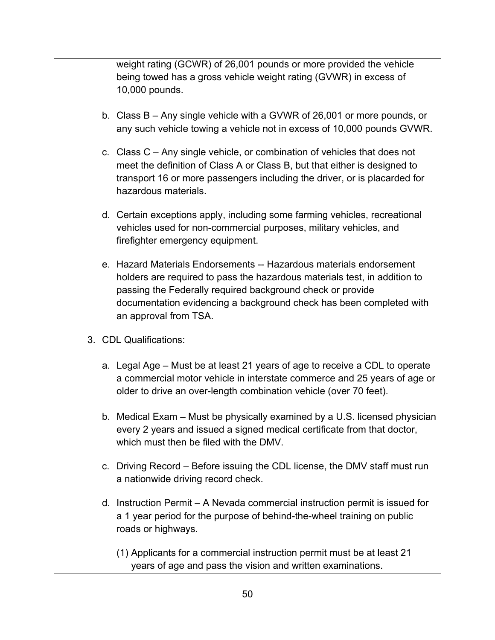weight rating (GCWR) of 26,001 pounds or more provided the vehicle being towed has a gross vehicle weight rating (GVWR) in excess of 10,000 pounds.

- b. Class B Any single vehicle with a GVWR of 26,001 or more pounds, or any such vehicle towing a vehicle not in excess of 10,000 pounds GVWR.
- c. Class C Any single vehicle, or combination of vehicles that does not meet the definition of Class A or Class B, but that either is designed to transport 16 or more passengers including the driver, or is placarded for hazardous materials.
- d. Certain exceptions apply, including some farming vehicles, recreational vehicles used for non-commercial purposes, military vehicles, and firefighter emergency equipment.
- e. Hazard Materials Endorsements -- Hazardous materials endorsement holders are required to pass the hazardous materials test, in addition to passing the Federally required background check or provide documentation evidencing a background check has been completed with an approval from TSA.
- 3. CDL Qualifications:
	- a. Legal Age Must be at least 21 years of age to receive a CDL to operate a commercial motor vehicle in interstate commerce and 25 years of age or older to drive an over-length combination vehicle (over 70 feet).
	- b. Medical Exam Must be physically examined by a U.S. licensed physician every 2 years and issued a signed medical certificate from that doctor, which must then be filed with the DMV
	- c. Driving Record Before issuing the CDL license, the DMV staff must run a nationwide driving record check.
	- d. Instruction Permit A Nevada commercial instruction permit is issued for a 1 year period for the purpose of behind-the-wheel training on public roads or highways.

(1) Applicants for a commercial instruction permit must be at least 21 years of age and pass the vision and written examinations.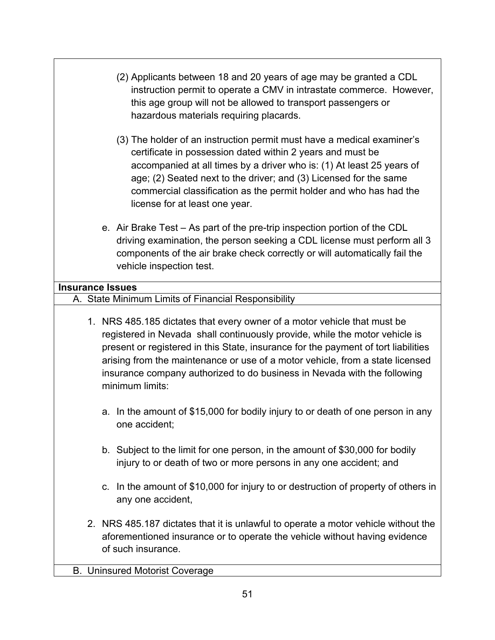- (2) Applicants between 18 and 20 years of age may be granted a CDL instruction permit to operate a CMV in intrastate commerce. However, this age group will not be allowed to transport passengers or hazardous materials requiring placards.
- (3) The holder of an instruction permit must have a medical examiner's certificate in possession dated within 2 years and must be accompanied at all times by a driver who is: (1) At least 25 years of age; (2) Seated next to the driver; and (3) Licensed for the same commercial classification as the permit holder and who has had the license for at least one year.
- e. Air Brake Test As part of the pre-trip inspection portion of the CDL driving examination, the person seeking a CDL license must perform all 3 components of the air brake check correctly or will automatically fail the vehicle inspection test.

## **Insurance Issues**

- A. State Minimum Limits of Financial Responsibility
	- 1. NRS 485.185 dictates that every owner of a motor vehicle that must be registered in Nevada shall continuously provide, while the motor vehicle is present or registered in this State, insurance for the payment of tort liabilities arising from the maintenance or use of a motor vehicle, from a state licensed insurance company authorized to do business in Nevada with the following minimum limits:
		- a. In the amount of \$15,000 for bodily injury to or death of one person in any one accident;
		- b. Subject to the limit for one person, in the amount of \$30,000 for bodily injury to or death of two or more persons in any one accident; and
		- c. In the amount of \$10,000 for injury to or destruction of property of others in any one accident,
	- 2. NRS 485.187 dictates that it is unlawful to operate a motor vehicle without the aforementioned insurance or to operate the vehicle without having evidence of such insurance.

### B. Uninsured Motorist Coverage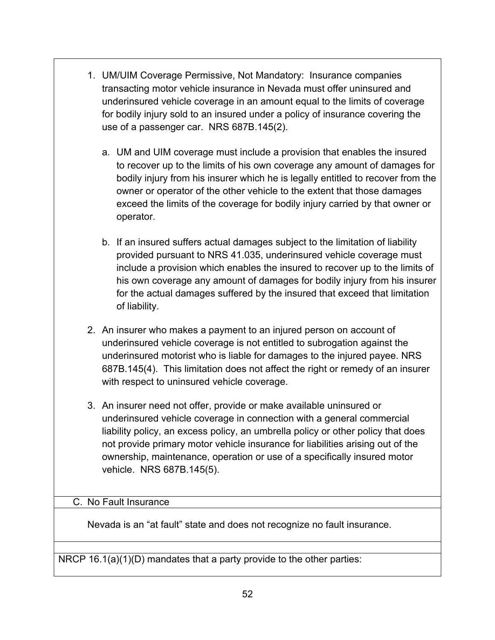- 1. UM/UIM Coverage Permissive, Not Mandatory: Insurance companies transacting motor vehicle insurance in Nevada must offer uninsured and underinsured vehicle coverage in an amount equal to the limits of coverage for bodily injury sold to an insured under a policy of insurance covering the use of a passenger car. NRS 687B.145(2).
	- a. UM and UIM coverage must include a provision that enables the insured to recover up to the limits of his own coverage any amount of damages for bodily injury from his insurer which he is legally entitled to recover from the owner or operator of the other vehicle to the extent that those damages exceed the limits of the coverage for bodily injury carried by that owner or operator.
	- b. If an insured suffers actual damages subject to the limitation of liability provided pursuant to NRS 41.035, underinsured vehicle coverage must include a provision which enables the insured to recover up to the limits of his own coverage any amount of damages for bodily injury from his insurer for the actual damages suffered by the insured that exceed that limitation of liability.
- 2. An insurer who makes a payment to an injured person on account of underinsured vehicle coverage is not entitled to subrogation against the underinsured motorist who is liable for damages to the injured payee. NRS 687B.145(4). This limitation does not affect the right or remedy of an insurer with respect to uninsured vehicle coverage.
- 3. An insurer need not offer, provide or make available uninsured or underinsured vehicle coverage in connection with a general commercial liability policy, an excess policy, an umbrella policy or other policy that does not provide primary motor vehicle insurance for liabilities arising out of the ownership, maintenance, operation or use of a specifically insured motor vehicle. NRS 687B.145(5).

#### C. No Fault Insurance

Nevada is an "at fault" state and does not recognize no fault insurance.

NRCP 16.1(a)(1)(D) mandates that a party provide to the other parties: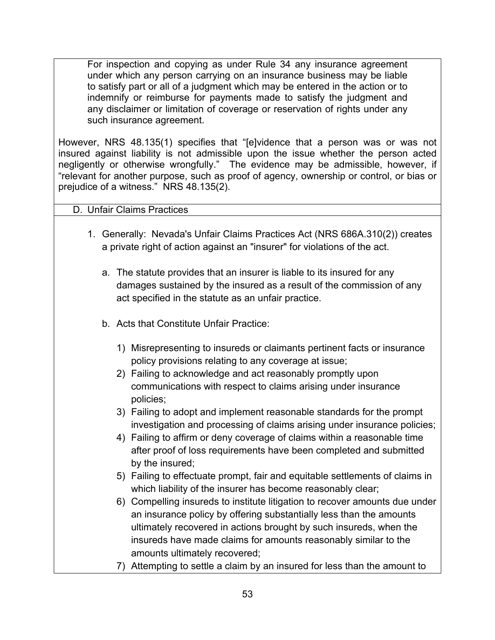For inspection and copying as under Rule 34 any insurance agreement under which any person carrying on an insurance business may be liable to satisfy part or all of a judgment which may be entered in the action or to indemnify or reimburse for payments made to satisfy the judgment and any disclaimer or limitation of coverage or reservation of rights under any such insurance agreement.

However, NRS 48.135(1) specifies that "[e]vidence that a person was or was not insured against liability is not admissible upon the issue whether the person acted negligently or otherwise wrongfully." The evidence may be admissible, however, if "relevant for another purpose, such as proof of agency, ownership or control, or bias or prejudice of a witness." NRS 48.135(2).

### D. Unfair Claims Practices

- 1. Generally: Nevada's Unfair Claims Practices Act (NRS 686A.310(2)) creates a private right of action against an "insurer" for violations of the act.
	- a. The statute provides that an insurer is liable to its insured for any damages sustained by the insured as a result of the commission of any act specified in the statute as an unfair practice.
	- b. Acts that Constitute Unfair Practice:
		- 1) Misrepresenting to insureds or claimants pertinent facts or insurance policy provisions relating to any coverage at issue;
		- 2) Failing to acknowledge and act reasonably promptly upon communications with respect to claims arising under insurance policies;
		- 3) Failing to adopt and implement reasonable standards for the prompt investigation and processing of claims arising under insurance policies;
		- 4) Failing to affirm or deny coverage of claims within a reasonable time after proof of loss requirements have been completed and submitted by the insured;
		- 5) Failing to effectuate prompt, fair and equitable settlements of claims in which liability of the insurer has become reasonably clear;
		- 6) Compelling insureds to institute litigation to recover amounts due under an insurance policy by offering substantially less than the amounts ultimately recovered in actions brought by such insureds, when the insureds have made claims for amounts reasonably similar to the amounts ultimately recovered;
		- 7) Attempting to settle a claim by an insured for less than the amount to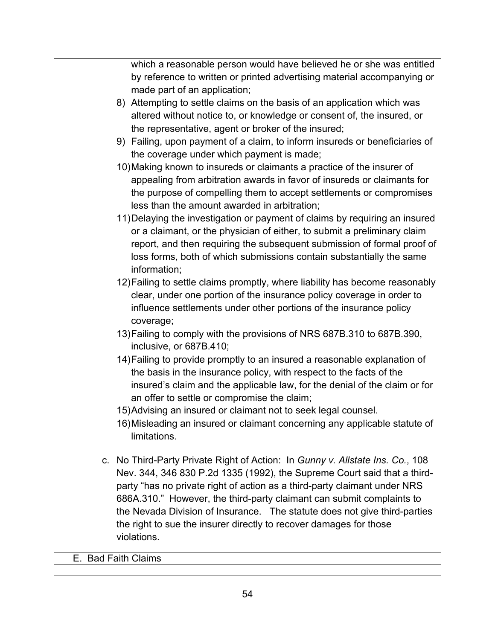which a reasonable person would have believed he or she was entitled by reference to written or printed advertising material accompanying or made part of an application;

- 8) Attempting to settle claims on the basis of an application which was altered without notice to, or knowledge or consent of, the insured, or the representative, agent or broker of the insured;
- 9) Failing, upon payment of a claim, to inform insureds or beneficiaries of the coverage under which payment is made;
- 10)Making known to insureds or claimants a practice of the insurer of appealing from arbitration awards in favor of insureds or claimants for the purpose of compelling them to accept settlements or compromises less than the amount awarded in arbitration;
- 11)Delaying the investigation or payment of claims by requiring an insured or a claimant, or the physician of either, to submit a preliminary claim report, and then requiring the subsequent submission of formal proof of loss forms, both of which submissions contain substantially the same information;
- 12)Failing to settle claims promptly, where liability has become reasonably clear, under one portion of the insurance policy coverage in order to influence settlements under other portions of the insurance policy coverage;
- 13)Failing to comply with the provisions of NRS 687B.310 to 687B.390, inclusive, or 687B.410;
- 14)Failing to provide promptly to an insured a reasonable explanation of the basis in the insurance policy, with respect to the facts of the insured's claim and the applicable law, for the denial of the claim or for an offer to settle or compromise the claim;
- 15)Advising an insured or claimant not to seek legal counsel.
- 16)Misleading an insured or claimant concerning any applicable statute of limitations.
- c. No Third-Party Private Right of Action: In *Gunny v. Allstate Ins. Co.*, 108 Nev. 344, 346 830 P.2d 1335 (1992), the Supreme Court said that a thirdparty "has no private right of action as a third-party claimant under NRS 686A.310." However, the third-party claimant can submit complaints to the Nevada Division of Insurance. The statute does not give third-parties the right to sue the insurer directly to recover damages for those violations.

E. Bad Faith Claims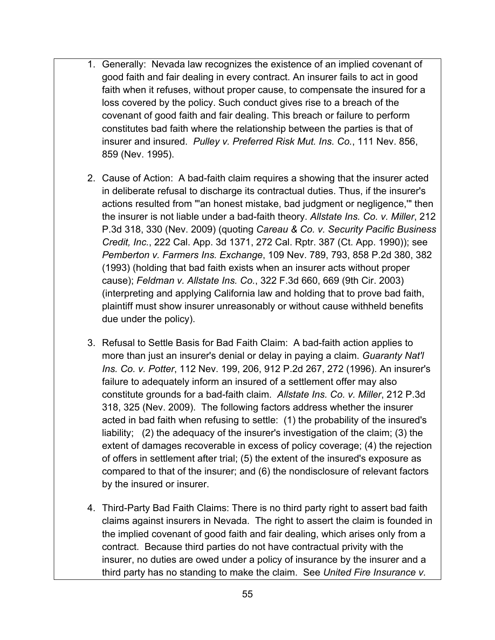- 1. Generally: Nevada law recognizes the existence of an implied covenant of good faith and fair dealing in every contract. An insurer fails to act in good faith when it refuses, without proper cause, to compensate the insured for a loss covered by the policy. Such conduct gives rise to a breach of the covenant of good faith and fair dealing. This breach or failure to perform constitutes bad faith where the relationship between the parties is that of insurer and insured. *Pulley v. Preferred Risk Mut. Ins. Co.*, 111 Nev. 856, 859 (Nev. 1995).
- 2. Cause of Action: A bad-faith claim requires a showing that the insurer acted in deliberate refusal to discharge its contractual duties. Thus, if the insurer's actions resulted from "'an honest mistake, bad judgment or negligence,'" then the insurer is not liable under a bad-faith theory. *Allstate Ins. Co. v. Miller*, 212 P.3d 318, 330 (Nev. 2009) (quoting *Careau & Co. v. Security Pacific Business Credit, Inc.*, 222 Cal. App. 3d 1371, 272 Cal. Rptr. 387 (Ct. App. 1990)); see *Pemberton v. Farmers Ins. Exchange*, 109 Nev. 789, 793, 858 P.2d 380, 382 (1993) (holding that bad faith exists when an insurer acts without proper cause); *Feldman v. Allstate Ins. Co.*, 322 F.3d 660, 669 (9th Cir. 2003) (interpreting and applying California law and holding that to prove bad faith, plaintiff must show insurer unreasonably or without cause withheld benefits due under the policy).
- 3. Refusal to Settle Basis for Bad Faith Claim: A bad-faith action applies to more than just an insurer's denial or delay in paying a claim. *Guaranty Nat'l Ins. Co. v. Potter*, 112 Nev. 199, 206, 912 P.2d 267, 272 (1996). An insurer's failure to adequately inform an insured of a settlement offer may also constitute grounds for a bad-faith claim. *Allstate Ins. Co. v. Miller*, 212 P.3d 318, 325 (Nev. 2009). The following factors address whether the insurer acted in bad faith when refusing to settle: (1) the probability of the insured's liability; (2) the adequacy of the insurer's investigation of the claim; (3) the extent of damages recoverable in excess of policy coverage; (4) the rejection of offers in settlement after trial; (5) the extent of the insured's exposure as compared to that of the insurer; and (6) the nondisclosure of relevant factors by the insured or insurer.
- 4. Third-Party Bad Faith Claims: There is no third party right to assert bad faith claims against insurers in Nevada. The right to assert the claim is founded in the implied covenant of good faith and fair dealing, which arises only from a contract. Because third parties do not have contractual privity with the insurer, no duties are owed under a policy of insurance by the insurer and a third party has no standing to make the claim. See *United Fire Insurance v.*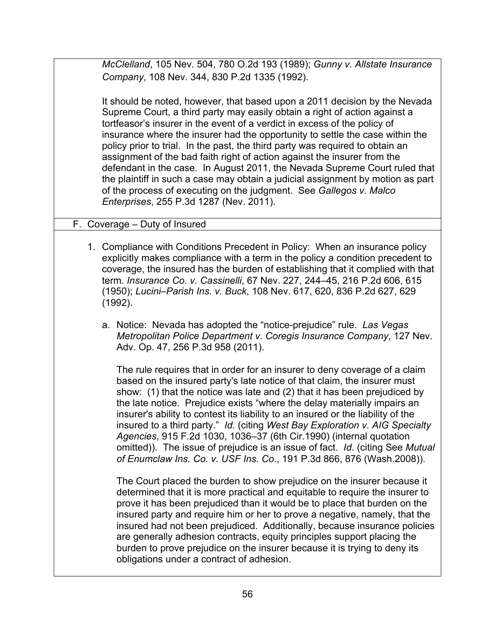*McClelland*, 105 Nev. 504, 780 O.2d 193 (1989); *Gunny v. Allstate Insurance Company*, 108 Nev. 344, 830 P.2d 1335 (1992).

It should be noted, however, that based upon a 2011 decision by the Nevada Supreme Court, a third party may easily obtain a right of action against a tortfeasor's insurer in the event of a verdict in excess of the policy of insurance where the insurer had the opportunity to settle the case within the policy prior to trial. In the past, the third party was required to obtain an assignment of the bad faith right of action against the insurer from the defendant in the case. In August 2011, the Nevada Supreme Court ruled that the plaintiff in such a case may obtain a judicial assignment by motion as part of the process of executing on the judgment. See *Gallegos v. Malco Enterprises*, 255 P.3d 1287 (Nev. 2011).

### F. Coverage – Duty of Insured

- 1. Compliance with Conditions Precedent in Policy: When an insurance policy explicitly makes compliance with a term in the policy a condition precedent to coverage, the insured has the burden of establishing that it complied with that term. *Insurance Co. v. Cassinelli*, 67 Nev. 227, 244–45, 216 P.2d 606, 615 (1950); *Lucini–Parish Ins. v. Buck*, 108 Nev. 617, 620, 836 P.2d 627, 629 (1992).
	- a. Notice: Nevada has adopted the "notice-prejudice" rule. *Las Vegas Metropolitan Police Department v. Coregis Insurance Company*, 127 Nev. Adv. Op. 47, 256 P.3d 958 (2011).

The rule requires that in order for an insurer to deny coverage of a claim based on the insured party's late notice of that claim, the insurer must show: (1) that the notice was late and (2) that it has been prejudiced by the late notice. Prejudice exists "where the delay materially impairs an insurer's ability to contest its liability to an insured or the liability of the insured to a third party." *Id.* (citing *West Bay Exploration v. AIG Specialty Agencies*, 915 F.2d 1030, 1036–37 (6th Cir.1990) (internal quotation omitted)). The issue of prejudice is an issue of fact. *Id*. (citing See *Mutual of Enumclaw Ins. Co. v. USF Ins. Co*., 191 P.3d 866, 876 (Wash.2008)).

The Court placed the burden to show prejudice on the insurer because it determined that it is more practical and equitable to require the insurer to prove it has been prejudiced than it would be to place that burden on the insured party and require him or her to prove a negative, namely, that the insured had not been prejudiced. Additionally, because insurance policies are generally adhesion contracts, equity principles support placing the burden to prove prejudice on the insurer because it is trying to deny its obligations under a contract of adhesion.